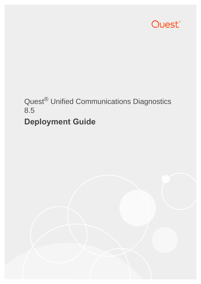

# Quest® Unified Communications Diagnostics 8.5

# **Deployment Guide**

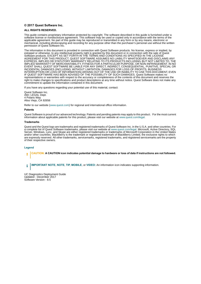#### **© 2017 Quest Software Inc.**

#### **ALL RIGHTS RESERVED.**

This guide contains proprietary information protected by copyright. The software described in this guide is furnished under a software license or nondisclosure agreement. This software may be used or copied only in accordance with the terms of the applicable agreement. No part of this guide may be reproduced or transmitted in any form or by any means, electronic or mechanical, including photocopying and recording for any purpose other than the purchaser's personal use without the written permission of Quest Software Inc.

The information in this document is provided in connection with Quest Software products. No license, express or implied, by estoppel or otherwise, to any intellectual property right is granted by this document or in connection with the sale of Quest<br>Software products. EXCEPT AS SET FORTH IN THE TERMS AND CONDITIONS AS SPECIFIED IN THE LICENSE<br>A EXPRESS, IMPLIED OR STATUTORY WARRANTY RELATING TO ITS PRODUCTS INCLUDING, BUT NOT LIMITED TO, THE IMPLIED WARRANTY OF MERCHANTABILITY, FITNESS FOR A PARTICULAR PURPOSE, OR NON-INFRINGEMENT. IN NO EVENT SHALL QUEST SOFTWARE BE LIABLE FOR ANY DIRECT, INDIRECT, CONSEQUENTIAL, PUNITIVE, SPECIAL OR INCIDENTAL DAMAGES (INCLUDING, WITHOUT LIMITATION, DAMAGES FOR LOSS OF PROFITS, BUSINESS<br>INTERRUPTION OR LOSS OF INFORMATION) ARISING OUT OF THE USE OR INABILITY TO USE THIS DOCUMENT, EVEN IF QUEST SOFTWARE HAS BEEN ADVISED OF THE POSSIBILITY OF SUCH DAMAGES. Quest Software makes no representations or warranties with respect to the accuracy or completeness of the contents of this document and reserves the right to make changes to specifications and product descriptions at any time without notice. Quest Software does not make any commitment to update the information contained in this document.

If you have any questions regarding your potential use of this material, contact:

Quest Software Inc. Attn: LEGAL Dept. 4 Polaris Way Aliso Viejo, CA 92656

Refer to our website [\(www.quest.com](http://www.quest.com)) for regional and international office information.

#### **Patents**

Quest Software is proud of our advanced technology. Patents and pending patents may apply to this product. For the most current information about applicable patents for this product, please visit our website at www.quest.com/legal.

#### **Trademarks**

Quest and the Quest logo are trademarks and registered trademarks of Quest Software Inc. in the U.S.A. and other countries. For a complete list of Quest Software trademarks, please visit our website at [www.quest.com/legal](http://www.quest.com/legal). Microsoft, Active Directory, SQL Server, Windows, Lync, and Skype are either registered trademarks or trademarks of Microsoft Corporation in the United States and/or other countries. BlackBerry is the trademark or registered trademark of BlackBerry Limited, the exclusive rights to which are expressly reserved. All other trademarks, servicemarks, registered trademarks, and registered servicemarks are the property of their respective owners.

#### **Legend**

**CAUTION: A CAUTION icon indicates potential damage to hardware or loss of data if instructions are not followed.**

**IMPORTANT NOTE**, **NOTE**, **TIP**, **MOBILE**, or **VIDEO:** An information icon indicates supporting information.÷

UC Diagnostics Deployment Guide Updated - December 2017 Software Version - 8.5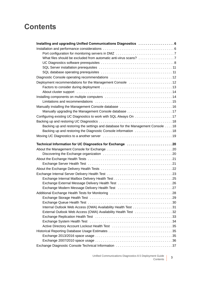## **Contents**

| Deployment recommendations for the Management Console  12                        |
|----------------------------------------------------------------------------------|
|                                                                                  |
|                                                                                  |
|                                                                                  |
|                                                                                  |
|                                                                                  |
| Manually upgrading the Management Console database 17                            |
|                                                                                  |
|                                                                                  |
| Backing up and restoring the settings and database for the Management Console 18 |
|                                                                                  |
|                                                                                  |
|                                                                                  |
| Technical Information for UC Diagnostics for Exchange 20                         |
|                                                                                  |
|                                                                                  |
|                                                                                  |
|                                                                                  |
|                                                                                  |
|                                                                                  |
|                                                                                  |
|                                                                                  |
| Exchange External Message Delivery Health Test 26                                |
|                                                                                  |
|                                                                                  |
|                                                                                  |
|                                                                                  |
|                                                                                  |
| External Outlook Web Access (OWA) Availability Health Test 32                    |
|                                                                                  |
|                                                                                  |
|                                                                                  |
|                                                                                  |
|                                                                                  |
| Exchange Diagnostic Console Technical Information 37                             |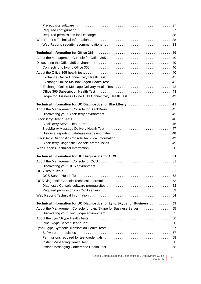| Exchange Online Message Delivery Health Test  42                                                                                                                                                                               |  |
|--------------------------------------------------------------------------------------------------------------------------------------------------------------------------------------------------------------------------------|--|
|                                                                                                                                                                                                                                |  |
| Skype for Business Online DNS Connectivity Health Test  43                                                                                                                                                                     |  |
|                                                                                                                                                                                                                                |  |
| Technical Information for UC Diagnostics for BlackBerry 45                                                                                                                                                                     |  |
|                                                                                                                                                                                                                                |  |
|                                                                                                                                                                                                                                |  |
|                                                                                                                                                                                                                                |  |
| BlackBerry Server Health Test (and the content of the content of the HackBerry Server Health Test (and the content of the content of the Server of the Server of the Server of the Server of the Server of the Server of the S |  |
|                                                                                                                                                                                                                                |  |
|                                                                                                                                                                                                                                |  |
|                                                                                                                                                                                                                                |  |
|                                                                                                                                                                                                                                |  |
|                                                                                                                                                                                                                                |  |
| Technical Information for UC Diagnostics for OCS  51                                                                                                                                                                           |  |
|                                                                                                                                                                                                                                |  |
|                                                                                                                                                                                                                                |  |
|                                                                                                                                                                                                                                |  |
|                                                                                                                                                                                                                                |  |
|                                                                                                                                                                                                                                |  |
|                                                                                                                                                                                                                                |  |
|                                                                                                                                                                                                                                |  |
|                                                                                                                                                                                                                                |  |
|                                                                                                                                                                                                                                |  |
| Technical Information for UC Diagnostics for Lync/Skype for Business 55                                                                                                                                                        |  |
| About the Management Console for Lync/Skype for Business Server 55                                                                                                                                                             |  |
|                                                                                                                                                                                                                                |  |
|                                                                                                                                                                                                                                |  |
|                                                                                                                                                                                                                                |  |
|                                                                                                                                                                                                                                |  |
|                                                                                                                                                                                                                                |  |
|                                                                                                                                                                                                                                |  |
| Instant Messaging Health Test (and the context of the context of the standard Messaging Health Test (and the context of the context of the standard Messaging Health Test (and the context of the context of the context of th |  |
|                                                                                                                                                                                                                                |  |
|                                                                                                                                                                                                                                |  |

Unified Communications Diagnostics 8.5 Deployment Guide ent Guide 4<br>Contents 4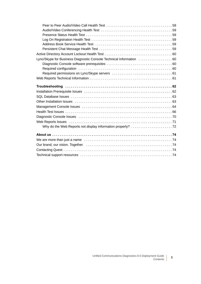| Lync/Skype for Business Diagnostic Console Technical Information 60 |  |
|---------------------------------------------------------------------|--|
|                                                                     |  |
|                                                                     |  |
|                                                                     |  |
|                                                                     |  |
|                                                                     |  |
|                                                                     |  |
|                                                                     |  |
|                                                                     |  |
|                                                                     |  |
|                                                                     |  |
|                                                                     |  |
|                                                                     |  |
|                                                                     |  |
|                                                                     |  |
|                                                                     |  |
|                                                                     |  |
|                                                                     |  |
|                                                                     |  |
|                                                                     |  |
|                                                                     |  |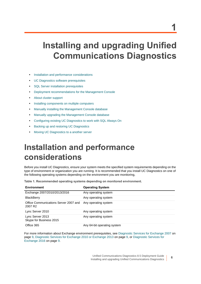# <span id="page-5-0"></span>**Installing and upgrading Unified Communications Diagnostics**

- **•** [Installation and performance considerations](#page-5-1)
- **•** [UC Diagnostics software prerequisites](#page-7-0)
- **•** [SQL Server installation prerequisites](#page-10-0)
- **•** [Deployment recommendations for the Management Console](#page-11-1)
- **•** [About cluster support](#page-13-0)
- **•** [Installing components on multiple computers](#page-13-1)
- **•** [Manually installing the Management Console database](#page-15-0)
- **•** [Manually upgrading the Management Console database](#page-16-0)
- **•** [Configuring existing UC Diagnostics to work with SQL Always On](#page-16-1)
- **•** [Backing up and restoring UC Diagnostics](#page-17-0)
- **•** [Moving UC Diagnostics to a another server](#page-18-0)

# <span id="page-5-1"></span>**Installation and performance considerations**

Before you install UC Diagnostics, ensure your system meets the specified system requirements depending on the type of environment or organization you are running. It is recommended that you install UC Diagnostics on one of the following operating systems depending on the environment you are monitoring,

**Table 1. Recommended operating systems depending on monitored environment.**

| <b>Environment</b>                                           | <b>Operating System</b>     |
|--------------------------------------------------------------|-----------------------------|
| Exchange 2007/2010/2013/2016                                 | Any operating system        |
| <b>BlackBerry</b>                                            | Any operating system        |
| Office Communications Server 2007 and<br>2007 R <sub>2</sub> | Any operating system        |
| Lync Server 2010                                             | Any operating system        |
| Lync Server 2013<br>Skype for Business 2015                  | Any operating system        |
| Office 365                                                   | Any 64-bit operating system |

For more information about Exchange environment prerequisites, see [Diagnostic Services for Exchange 2007 on](#page-8-0)  [page 9](#page-8-0), [Diagnostic Services for Exchange 2010 or Exchange 2013 on page 9,](#page-8-1) or [Diagnostic Services for](#page-8-2)  [Exchange 2016 on page 9.](#page-8-2)

**6**

**1**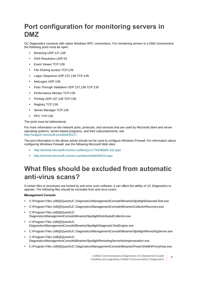## <span id="page-6-0"></span>**Port configuration for monitoring servers in DMZ**

UC Diagnostics connects with native Windows RPC connections. For monitoring servers in a DMZ environment, the following ports must be open:

- **•** Browsing UDP:137,138
- **•** DNS Resolution UDP:53
- **•** Event Viewer TCP:139
- **•** File Sharing access TCP:139
- **•** Logon Sequence UDP:137,138 TCP:139
- **•** NetLogon UDP:138
- **•** Pass Through Validation UDP:137,138 TCP:139
- **•** Performance Monitor TCP:139
- **•** Printing UDP:137,138 TCP:139
- **•** Registry TCP:139
- **•** Server Manager TCP:139
- **•** RPC TCP:135

The ports must be bidirectional.

For more information on the network ports, protocols, and services that are used by Microsoft client and server operating systems, server-based programs, and their subcomponents, see <http://support.microsoft.com/kb/832017>.

The port information in the above article should not be used to configure Windows Firewall. For information about configuring Windows Firewall, see the following Microsoft Web sites:

- **•** [http://technet.microsoft.com/en-us/library/cc779199\(WS.10\).aspx](http://technet.microsoft.com/en-us/library/cc779199(WS.10).aspx)
- **•** <http://technet.microsoft.com/en-us/network/bb545423.aspx>

## <span id="page-6-1"></span>**What files should be excluded from automatic anti-virus scans?**

If certain files or processes are locked by anti-virus scan software, it can affect the ability of UC Diagnostics to operate. The following files should be excluded from anti-virus scans:

### **Management Console**

- **•** C:\Program Files (x86)]\Quest\UC Diagnostics\ManagementConsole\Binaries\SpotlightDianosticTest.exe
- **•** C:\Program Files (x86)]\Quest\UC Diagnostics\ManagementConsole\Binaries\CollectorRecovery.exe
- **•** C:\Program Files (x86)]\Quest\UC Diagnostics\ManagementConsole\Binaries\SpotlightDistributedCollector.exe
- **•** C:\Program Files (x86)]\Quest\UC Diagnostics\ManagementConsole\Binaries\SpotlightDiagnosticTestEngine.exe
- **•** C:\Program Files (x86)]\Quest\UC Diagnostics\ManagementConsole\Binaries\SpotlightRemotingServer.exe
- **•** C:\Program Files (x86)]\Quest\UC Diagnostics\ManagementConsole\Binaries\SpotlightRemotingServerNoImpersonation.exe
- **•** C:\Program Files (x86)]\Quest\UC Diagnostics\ManagementConsole\Binaries\PowerShell64ProxyHost.exe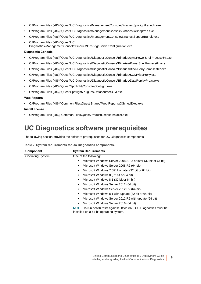- **•** C:\Program Files (x86)]\Quest\UC Diagnostics\ManagementConsole\Binaries\SpotlightLaunch.exe
- **•** C:\Program Files (x86)]\Quest\UC Diagnostics\ManagementConsole\Binaries\iwsnaptrap.exe
- **•** C:\Program Files (x86)]\Quest\UC Diagnostics\ManagementConsole\Binaries\SupportBundle.exe
- **•** C:\Program Files (x86)]\Quest\UC Diagnostics\ManagementConsole\Binaries\OcsEdgeServerConfiguration.exe

#### **Diagnostic Console**

- **•** C:\Program Files (x86)]\Quest\UC Diagnostics\DiagnosticConsole\Binaries\LyncPowerShellProcess64.exe
- **•** C:\Program Files (x86)]\Quest\UC Diagnostics\DiagnosticConsole\Binaries\PowerShellProcess64.exe
- **•** C:\Program Files (x86)]\Quest\UC Diagnostics\DiagnosticConsole\Binaries\BlackBerrySnmpTester.exe
- **•** C:\Program Files (x86)]\Quest\UC Diagnostics\DiagnosticConsole\Binaries\SOMMiscProxy.exe
- **•** C:\Program Files (x86)]\Quest\UC Diagnostics\DiagnosticConsole\Binaries\DataReplayProxy.exe
- **•** C:\Program Files (x86)]\Quest\Spotlight\Console\Spotlight.exe
- **•** C:\Program Files (x86)]\Quest\Spotlight\Plug-ins\DatasourceSOM.exe

#### **Web Reports**

**•** C:\Program Files (x86)]\Common Files\Quest Shared\Web Reports\QSchedExec.exe

#### **Install license**

**•** C:\Program Files (x86)]\Common Files\Quest\ProductLicenseInstaller.exe

## <span id="page-7-0"></span>**UC Diagnostics software prerequisites**

The following section provides the software prerequisites for UC Diagnostics components.

| Component               | <b>System Requirements</b>                                                                                             |  |  |  |  |
|-------------------------|------------------------------------------------------------------------------------------------------------------------|--|--|--|--|
| <b>Operating System</b> | One of the following:                                                                                                  |  |  |  |  |
|                         | Microsoft Windows Server 2008 SP 2 or later (32 bit or 64 bit)<br>٠                                                    |  |  |  |  |
|                         | Microsoft Windows Server 2008 R2 (64 bit)<br>٠                                                                         |  |  |  |  |
|                         | Microsoft Windows 7 SP 1 or later (32 bit or 64 bit)<br>٠                                                              |  |  |  |  |
|                         | Microsoft Windows 8 (32 bit or 64 bit)<br>٠                                                                            |  |  |  |  |
|                         | Microsoft Windows 8.1 (32 bit or 64 bit)<br>٠                                                                          |  |  |  |  |
|                         | Microsoft Windows Server 2012 (64 bit)<br>٠                                                                            |  |  |  |  |
|                         | Microsoft Windows Server 2012 R2 (64 bit)<br>٠                                                                         |  |  |  |  |
|                         | Microsoft Windows 8.1 with update (32 bit or 64 bit)<br>٠                                                              |  |  |  |  |
|                         | Microsoft Windows Server 2012 R2 with update (64 bit)<br>٠                                                             |  |  |  |  |
|                         | Microsoft Windows Server 2016 (64 bit)<br>٠                                                                            |  |  |  |  |
|                         | <b>NOTE:</b> To run health tests against Office 365, UC Diagnostics must be<br>installed on a 64-bit operating system. |  |  |  |  |

**Table 2. System requirements for UC Diagnostics components.**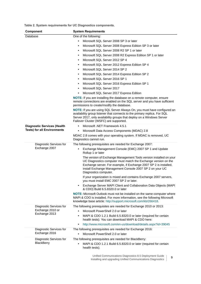**Table 2. System requirements for UC Diagnostics components.**

<span id="page-8-3"></span><span id="page-8-0"></span>

| Component                          | <b>System Requirements</b>                                                                                                                                                                                                                                                                     |  |  |  |  |
|------------------------------------|------------------------------------------------------------------------------------------------------------------------------------------------------------------------------------------------------------------------------------------------------------------------------------------------|--|--|--|--|
| Database                           | One of the following:                                                                                                                                                                                                                                                                          |  |  |  |  |
|                                    | Microsoft SQL Server 2008 SP 3 or later<br>$\bullet$                                                                                                                                                                                                                                           |  |  |  |  |
|                                    | Microsoft SQL Server 2008 Express Edition SP 3 or later<br>$\bullet$                                                                                                                                                                                                                           |  |  |  |  |
|                                    | Microsoft SQL Server 2008 R2 SP 1 or later<br>$\bullet$                                                                                                                                                                                                                                        |  |  |  |  |
|                                    | Microsoft SQL Server 2008 R2 Express Edition SP 1 or later<br>$\bullet$                                                                                                                                                                                                                        |  |  |  |  |
|                                    | Microsoft SQL Server 2012 SP 4<br>$\bullet$                                                                                                                                                                                                                                                    |  |  |  |  |
|                                    | Microsoft SQL Server 2012 Express Edition SP 4<br>$\bullet$                                                                                                                                                                                                                                    |  |  |  |  |
|                                    | Microsoft SQL Server 2014 SP 2<br>$\bullet$                                                                                                                                                                                                                                                    |  |  |  |  |
|                                    | Microsoft SQL Server 2014 Express Edition SP 2<br>$\bullet$                                                                                                                                                                                                                                    |  |  |  |  |
|                                    | Microsoft SQL Server 2016 SP 1<br>$\bullet$                                                                                                                                                                                                                                                    |  |  |  |  |
|                                    | Microsoft SQL Server 2016 Express Edition SP 1<br>$\bullet$                                                                                                                                                                                                                                    |  |  |  |  |
|                                    | Microsoft SQL Server 2017<br>$\bullet$                                                                                                                                                                                                                                                         |  |  |  |  |
|                                    | Microsoft SQL Server 2017 Express Edition<br>$\bullet$                                                                                                                                                                                                                                         |  |  |  |  |
|                                    | NOTE: If you are installing the database on a remote computer, ensure<br>remote connections are enabled on the SQL server and you have sufficient<br>permissions to create/modify the database.                                                                                                |  |  |  |  |
|                                    | NOTE: If you are using SQL Server Always On, you must have configured an<br>availability group listener that connects to the primary replica. For SQL<br>Server 2017, only availability groups that deploy on a Windows Server<br>Failover Cluster (WSFC) are supported.                       |  |  |  |  |
| <b>Diagnostic Services (Health</b> | Microsoft .NET Framework 4.5.1<br>$\bullet$                                                                                                                                                                                                                                                    |  |  |  |  |
| <b>Tests) for all Environments</b> | Microsoft Data Access Components (MDAC) 2.8<br>$\bullet$                                                                                                                                                                                                                                       |  |  |  |  |
|                                    | MDAC 2.8 comes with your operating system. If MDAC is removed, UC<br>Diagnostics cannot run.                                                                                                                                                                                                   |  |  |  |  |
| Diagnostic Services for            | The following prerequisites are needed for Exchange 2007:                                                                                                                                                                                                                                      |  |  |  |  |
| Exchange 2007                      | Exchange Management Console (EMC) 2007 SP 1 and Update<br>٠<br>Rollup 1 or later                                                                                                                                                                                                               |  |  |  |  |
|                                    | The version of Exchange Management Tools version installed on your<br>UC Diagnostics computer must match the Exchange version on the<br>Exchange server. For example, if Exchange 2007 SP 2 is installed,<br>install Exchange Management Console 2007 SP 2 on your UC<br>Diagnostics computer. |  |  |  |  |
|                                    | If your organization is mixed and contains Exchange 2007 servers,<br>you must install EMC 2007 SP 2 or later.                                                                                                                                                                                  |  |  |  |  |
|                                    | Exchange Server MAPI Client and Collaboration Data Objects (MAPI<br>$\bullet$<br>& CDO) Build 6.5.8320.0 or later                                                                                                                                                                              |  |  |  |  |
|                                    | <b>NOTE:</b> Microsoft Outlook must not be installed on the same computer where<br>MAPI & CDO is installed. For more information, see the following Microsoft<br>knowledge base article: http://support.microsoft.com/kb/266418.                                                               |  |  |  |  |
| Diagnostic Services for            | The following prerequisites are needed for Exchange 2010 or 2013:                                                                                                                                                                                                                              |  |  |  |  |
| Exchange 2010 or                   | Microsoft PowerShell 2.0 or later<br>$\bullet$                                                                                                                                                                                                                                                 |  |  |  |  |
| Exchange 2013                      | MAPI & CDO 1.2.1 Build 6.5.8320.0 or later (required for certain<br>$\bullet$<br>health tests). You can download MAPI & CDO here:                                                                                                                                                              |  |  |  |  |
|                                    | http://www.microsoft.com/en-us/download/details.aspx?id=39045<br>$\bullet$                                                                                                                                                                                                                     |  |  |  |  |
| Diagnostic Services for            | The following prerequisites are needed for Exchange 2016:                                                                                                                                                                                                                                      |  |  |  |  |
| Exchange 2016                      | Microsoft PowerShell 2.0 or later<br>$\bullet$                                                                                                                                                                                                                                                 |  |  |  |  |
| Diagnostic Services for            | The following prerequisites are needed for BlackBerry:                                                                                                                                                                                                                                         |  |  |  |  |
| <b>BlackBerry</b>                  | MAPI & CDO 1.2.1 Build 6.5.8320.0 or later (required for certain<br>$\bullet$<br>health tests).                                                                                                                                                                                                |  |  |  |  |

<span id="page-8-2"></span><span id="page-8-1"></span>Unified Communications Diagnostics 8.5 Deployment Guide Installing and upgrading Unified Communications Diagnostics **<sup>9</sup>**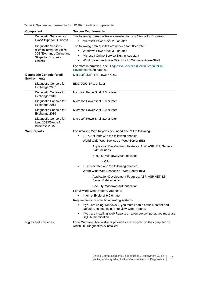**Table 2. System requirements for UC Diagnostics components.**

| Component               |                                                                | <b>System Requirements</b>                                                                                                   |  |  |  |  |
|-------------------------|----------------------------------------------------------------|------------------------------------------------------------------------------------------------------------------------------|--|--|--|--|
| Diagnostic Services for |                                                                | The following prerequisites are needed for Lync/Skype for Business:                                                          |  |  |  |  |
|                         | Lync/Skype for Business                                        | Microsoft PowerShell 2.0 or later<br>$\bullet$                                                                               |  |  |  |  |
|                         | <b>Diagnostic Services</b><br>(Health Tests) for Office        | The following prerequisites are needed for Office 365:                                                                       |  |  |  |  |
|                         | 365 (Exchange Online and                                       | Windows PowerShell 3.0 or later<br>$\bullet$                                                                                 |  |  |  |  |
|                         | Skype for Business                                             | Microsoft Online Service Sign-in Assistant<br>$\bullet$                                                                      |  |  |  |  |
|                         | Online)                                                        | Windows Azure Active Directory for Windows PowerShell<br>$\bullet$                                                           |  |  |  |  |
|                         |                                                                | For more information, see Diagnostic Services (Health Tests) for all<br>Environments on page 9.                              |  |  |  |  |
|                         | <b>Diagnostic Console for all</b><br><b>Environments</b>       | Microsoft .NET Framework 4.5.1                                                                                               |  |  |  |  |
|                         | Diagnostic Console for<br>Exchange 2007                        | EMC 2007 SP 1 or later                                                                                                       |  |  |  |  |
|                         | Diagnostic Console for<br>Exchange 2010                        | Microsoft PowerShell 2.0 or later                                                                                            |  |  |  |  |
|                         | Diagnostic Console for<br>Exchange 2013                        | Microsoft PowerShell 2.0 or later                                                                                            |  |  |  |  |
|                         | Diagnostic Console for<br>Exchange 2016                        | Microsoft PowerShell 2.0 or later                                                                                            |  |  |  |  |
|                         | Diagnostic Console for<br>Lync 2013/Skype for<br>Business 2015 | Microsoft PowerShell 2.0 or later                                                                                            |  |  |  |  |
|                         | <b>Web Reports</b>                                             | For installing Web Reports, you need one of the following:                                                                   |  |  |  |  |
|                         |                                                                | IIS 7.0 or later with the following enabled:<br>٠                                                                            |  |  |  |  |
|                         |                                                                | World Wide Web Services or Web Server (IIS)                                                                                  |  |  |  |  |
|                         |                                                                | Application Development Features: ASP, ASP.NET, Server-<br>Side Includes                                                     |  |  |  |  |
|                         |                                                                | Security: Windows Authentication                                                                                             |  |  |  |  |
|                         |                                                                | $-OR -$                                                                                                                      |  |  |  |  |
|                         |                                                                | IIS 8.0 or later with the following enabled:<br>$\bullet$                                                                    |  |  |  |  |
|                         |                                                                | World Wide Web Services or Web Server (IIS)                                                                                  |  |  |  |  |
|                         |                                                                | Application Development Features: ASP, ASP.NET 3.5,<br>Server-Side Includes                                                  |  |  |  |  |
|                         |                                                                | Security: Windows Authentication                                                                                             |  |  |  |  |
|                         |                                                                | For viewing Web Reports, you need:                                                                                           |  |  |  |  |
|                         |                                                                | Internet Explorer 9.0 or later<br>٠                                                                                          |  |  |  |  |
|                         |                                                                | Requirements for specific operating systems:                                                                                 |  |  |  |  |
|                         |                                                                | If you are using Windows 7, you must enable Static Content and<br>$\bullet$<br>Default Documents in IIS to view Web Reports. |  |  |  |  |
|                         |                                                                | If you are installing Web Reports on a remote computer, you must use<br>$\bullet$<br><b>SQL</b> Authentication.              |  |  |  |  |
|                         | <b>Rights and Privileges</b>                                   | Local Windows Administrator privileges are required on the computer on<br>which UC Diagnostics is installed.                 |  |  |  |  |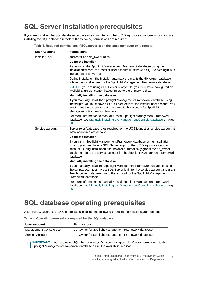## <span id="page-10-0"></span>**SQL Server installation prerequisites**

If you are installing the SQL database on the same computer as other UC Diagnostics components or if you are installing the SQL database remotely, the following permissions are required:

| <b>User Account</b> | <b>Permissions</b>                                                                                                                                                                                                                                                                                                                |  |  |  |  |  |
|---------------------|-----------------------------------------------------------------------------------------------------------------------------------------------------------------------------------------------------------------------------------------------------------------------------------------------------------------------------------|--|--|--|--|--|
| Installer user      | dbcreator and db_owner roles                                                                                                                                                                                                                                                                                                      |  |  |  |  |  |
|                     | Using the installer                                                                                                                                                                                                                                                                                                               |  |  |  |  |  |
|                     | If you install the Spotlight Management Framework database using the<br>Installation wizard, the installer user account must have a SQL Server login with<br>the dbcreator server role.                                                                                                                                           |  |  |  |  |  |
|                     | During installation, the installer automatically grants the db_owner database<br>role to the installer user for the Spotlight Management Framework database.                                                                                                                                                                      |  |  |  |  |  |
|                     | NOTE: If you are using SQL Server Always On, you must have configured an<br>availability group listener that connects to the primary replica.                                                                                                                                                                                     |  |  |  |  |  |
|                     | Manually installing the database                                                                                                                                                                                                                                                                                                  |  |  |  |  |  |
|                     | If you manually install the Spotlight Management Framework database using<br>the scripts, you must have a SQL Server login for the installer user account. You<br>must grant the db_owner database role to the account for Spotlight<br>Management Framework database.                                                            |  |  |  |  |  |
|                     | For more information to manually install Spotlight Management Framework<br>database, see Manually installing the Management Console database on page<br>16.                                                                                                                                                                       |  |  |  |  |  |
| Service account     | Server roles/database roles required for the UC Diagnostics service account at<br>installation time are as follows:                                                                                                                                                                                                               |  |  |  |  |  |
|                     | Using the installer                                                                                                                                                                                                                                                                                                               |  |  |  |  |  |
|                     | If you install Spotlight Management Framework database using Installation<br>wizard, you must have a SQL Server login for the UC Diagnostics service<br>account. During installation, the Installer automatically grants the db_owner<br>database role to the service account for the Spotlight Management Framework<br>database. |  |  |  |  |  |
|                     | Manually installing the database                                                                                                                                                                                                                                                                                                  |  |  |  |  |  |
|                     | If you manually install the Spotlight Management Framework database using<br>the scripts, you must have a SQL Server login for the service account and grant<br>the db_owner database role to the account for the Spotlight Management<br>Framework database.                                                                     |  |  |  |  |  |
|                     | For more information to manually install Spotlight Management Framework<br>database, see Manually installing the Management Console database on page<br>16.                                                                                                                                                                       |  |  |  |  |  |

**Table 3. Required permissions if SQL server is on the same computer or is remote.**

### <span id="page-10-1"></span>**SQL database operating prerequisites**

After the UC Diagnostics SQL database is installed, the following operating permissions are required:

**Table 4. Operating permissions required for the SQL database.**

| <b>User Account</b>     | <b>Permissions</b>                                   |
|-------------------------|------------------------------------------------------|
| Management Console user | db_Owner for Spotlight Management Framework database |
| Service Account         | db_Owner for Spotlight Management Framework database |

**I IMPORTANT:** If you are using SQL Server Always On, you must grant db Owner permissions to the f. Spotlight Management Framework database on **all** the availability replicas.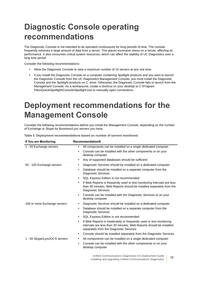# <span id="page-11-0"></span>**Diagnostic Console operating recommendations**

The Diagnostic Console is not intended to be operated continuously for long periods of time. The console frequently retrieves a large amount of data from a server. This places excessive stress on a server, affecting its performance. It also consumes critical system resources, which can affect the stability of UC Diagnostics over a long time period.

Consider the following recommendations:

- **•** Allow the Diagnostic Console to view a maximum number of 10 servers at any one time.
- **•** If you install the Diagnostic Console on a computer containing Spotlight products and you want to launch the Diagnostic Console from the UC Diagnostics Management Console, you must install the Diagnostic Console and the Spotlight products on C: drive. Otherwise, the Diagnostic Console fails to launch from the Management Console. As a workaround, create a shortcut on your desktop to C:\Program Files\Quest\Spotlight\Console\Spotlight.exe to manually open connections.

# <span id="page-11-1"></span>**Deployment recommendations for the Management Console**

Consider the following recommendations before you install the Management Console, depending on the number of Exchange or Skype for Business/Lync servers you have.

| If You are Monitoring         | <b>RecommendationS</b>                                                                                                                                                                            |
|-------------------------------|---------------------------------------------------------------------------------------------------------------------------------------------------------------------------------------------------|
| 1 - 50 Exchange servers       | All components can be installed on a single dedicated computer<br>٠                                                                                                                               |
|                               | Console can be installed with the other components or on your<br>desktop computer                                                                                                                 |
|                               | Any of supported databases should be sufficient                                                                                                                                                   |
| 50 - 100 Exchange servers     | Diagnostic Services should be installed on a dedicated computer<br>$\bullet$                                                                                                                      |
|                               | Database should be installed on a separate computer from the<br><b>Diagnostic Services</b>                                                                                                        |
|                               | SQL Express Edition is not recommended<br>$\bullet$                                                                                                                                               |
|                               | If Web Reports is frequently used or test monitoring intervals are less<br>than 30 minutes, Web Reports should be installed separately from the<br><b>Diagnostic Services</b>                     |
|                               | Console can be installed with the Diagnostic Services or on your<br>desktop computer                                                                                                              |
| 100 or more Exchange servers  | Diagnostic Services should be installed on a dedicated computer<br>$\bullet$                                                                                                                      |
|                               | Database should be installed on a separate computer from the<br>$\bullet$<br><b>Diagnostic Services</b>                                                                                           |
|                               | SQL Express Edition is not recommended<br>$\bullet$                                                                                                                                               |
|                               | If Web Reports is moderately or frequently used or test monitoring<br>$\bullet$<br>intervals are less than 30 minutes, Web Reports should be installed<br>separately from the Diagnostic Services |
|                               | Console should be installed separately from the Diagnostic Services<br>$\bullet$                                                                                                                  |
| 1 - 50 Skype/Lync/OCS servers | All components can be installed on a single dedicated computer                                                                                                                                    |
|                               | Console can be installed with the other components or on your<br>$\bullet$<br>desktop computer                                                                                                    |

**Table 5. Deployment recommendations based on number of servers monitored.**

Unified Communications Diagnostics 8.5 Deployment Guide Installing and upgrading Unified Communications Diagnostics **<sup>12</sup>**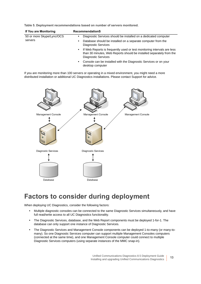**Table 5. Deployment recommendations based on number of servers monitored.**

| If You are Monitoring                | <b>RecommendationS</b>                                                                                                                                                                     |  |  |  |  |
|--------------------------------------|--------------------------------------------------------------------------------------------------------------------------------------------------------------------------------------------|--|--|--|--|
| 50 or more Skype/Lync/OCS<br>servers | Diagnostic Services should be installed on a dedicated computer<br>٠                                                                                                                       |  |  |  |  |
|                                      | Database should be installed on a separate computer from the<br>٠<br><b>Diagnostic Services</b>                                                                                            |  |  |  |  |
|                                      | If Web Reports is frequently used or test monitoring intervals are less<br>$\bullet$<br>than 30 minutes, Web Reports should be installed separately from the<br><b>Diagnostic Services</b> |  |  |  |  |
|                                      | Console can be installed with the Diagnostic Services or on your<br>٠<br>desktop computer                                                                                                  |  |  |  |  |

If you are monitoring more than 100 servers or operating in a mixed environment, you might need a more distributed installation or additional UC Diagnostics installations. Please contact Support for advice.



## <span id="page-12-0"></span>**Factors to consider during deployment**

When deploying UC Diagnostics, consider the following factors:

- **•** Multiple diagnostic consoles can be connected to the same Diagnostic Services simultaneously, and have full read/write access to all UC Diagnostics functionality.
- **•** The Diagnostic Services, database, and the Web Report components must be deployed 1-for-1. The database can only support one instance of Diagnostic Services.
- **•** The Diagnostic Services and Management Console components can be deployed 1-to-many (or many-tomany). So one Diagnostic Services computer can support multiple Management Consoles computers (connected at the same time), and one Management Console computer could connect to multiple Diagnostic Services computers (using separate instances of the MMC snap-in).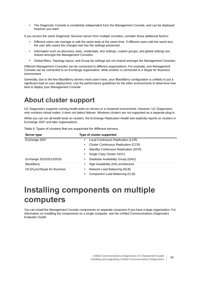**•** The Diagnostic Console is completely independent from the Management Console, and can be deployed however you want.

if you access the same Diagnostic Services server from multiple consoles, consider these additional factors:

- **•** Different users can manage or edit the same tests at the same time. If different users edit the same test, the user who saves the changes last has the settings preserved.
- **•** Information such as discovery, tests, credentials, test settings, custom groups, and global settings are shared amongst the Management Consoles
- **•** Global filters, Topology layout, and Group By settings are not shared amongst the Management Consoles

Different Management Consoles can be connected to different organizations. For example, one Management Console can be connected to an Exchange organization, while another is connected to a Skype for Business environment.

Generally, due to the few BlackBerry servers most users have, your BlackBerry configuration is unlikely to put a significant load on your deployment. Use the performance guidelines for the other environments to determine how best to deploy your Management Console.

## <span id="page-13-0"></span>**About cluster support**

UC Diagnostics supports running health tests on servers in a clustered environment. However, UC Diagnostics only monitors virtual nodes; it does not detect failover. Windows clusters are not supported as a separate plug-in.

While you can run all health tests on clusters, the Exchange Replication Health test explicitly reports on clusters in Exchange 2007 and later organizations.

|  |  |  |  |  |  | Table 6. Types of clusters that are supported for different servers. |  |
|--|--|--|--|--|--|----------------------------------------------------------------------|--|
|--|--|--|--|--|--|----------------------------------------------------------------------|--|

| Server type                 | Type of cluster supported                        |
|-----------------------------|--------------------------------------------------|
| Exchange 2007               | Local Continuous Replication (LCR)<br>٠          |
|                             | <b>Cluster Continuous Replication (CCR)</b><br>٠ |
|                             | Standby Continuous Replication (SCR)<br>٠        |
|                             | Single Copy Cluster (SCC)<br>$\bullet$           |
| Exchange 2010/2013/2016     | Database Availability Group (DAG)<br>٠           |
| <b>BlackBerry</b>           | High Availability (HA) architecture<br>$\bullet$ |
| OCS/Lync/Skype for Business | Network Load Balancing (NLB)<br>$\bullet$        |
|                             | Component Load Balancing (CLB)<br>$\bullet$      |

# <span id="page-13-1"></span>**Installing components on multiple computers**

You can install the Management Console components on separate computers if you have a large organization. For information on installing the components on a single computer, see the *Unified Communications Diagnostics Evaluator Guide*.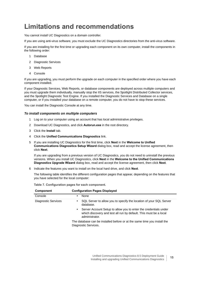## <span id="page-14-0"></span>**Limitations and recommendations**

You cannot install UC Diagnostics on a domain controller.

If you are using anti-virus software, you must exclude the UC Diagnostics directories from the anti-virus software.

If you are installing for the first time or upgrading each component on its own computer, install the components in the following order:

- 1 Database
- 2 Diagnostic Services
- 3 Web Reports
- 4 Console

If you are upgrading, you must perform the upgrade on each computer in the specified order where you have each component installed.

If your Diagnostic Services, Web Reports, or database components are deployed across multiple computers and you must upgrade them individually, manually stop the IIS services, the Spotlight Distributed Collector services, and the Spotlight Diagnostic Test Engine. If you installed the Diagnostic Services and Database on a single computer, or if you installed your database on a remote computer, you do not have to stop these services.

You can install the Diagnostic Console at any time.

#### *To install components on multiple computers*

- 1 Log on to your computer using an account that has local administrative privileges.
- 2 Download UC Diagnostics, and click **Autorun.exe** in the root directory.
- 3 Click the **Install** tab.
- 4 Click the **Unified Communications Diagnostics** link.
- 5 If you are installing UC Diagnostics for the first time, click **Next** in the **Welcome to Unified Communications Diagnostics Setup Wizard** dialog box, read and accept the license agreement, then click **Next**.

If you are upgrading from a previous version of UC Diagnostics, you do not need to uninstall the previous versions. When you install UC Diagnostics, click **Next** in the **Welcome to the Unified Communications Diagnostics Upgrade Wizard** dialog box, read and accept the license agreement, then click **Next**.

6 Indicate the features you want to install on the local hard drive, and click **Next**.

The following table identifies the different configuration pages that appear, depending on the features that you have selected for the local computer:

| Component           | <b>Configuration Pages Displayed</b>                                                                                                                                 |
|---------------------|----------------------------------------------------------------------------------------------------------------------------------------------------------------------|
| Console             | None<br>$\bullet$                                                                                                                                                    |
| Diagnostic Services | SQL Server to allow you to specify the location of your SQL Server<br>$\bullet$<br>database.                                                                         |
|                     | Server Account Setup to allow you to enter the credentials under<br>$\bullet$<br>which discovery and test all run by default. This must be a local<br>administrator. |
|                     | The database can be installed before or at the same time you install the<br>Diagnostic Services.                                                                     |

**Table 7. Configuration pages for each component.**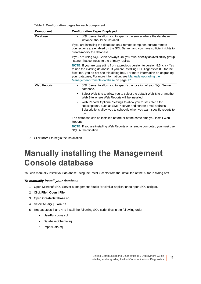**Table 7. Configuration pages for each component.**

| <b>Component</b> | <b>Configuration Pages Displayed</b>                                                                                                                                                                                                                                                                                                                          |
|------------------|---------------------------------------------------------------------------------------------------------------------------------------------------------------------------------------------------------------------------------------------------------------------------------------------------------------------------------------------------------------|
| Database         | SQL Server to allow you to specify the server where the database<br>$\bullet$<br>instance should be installed.                                                                                                                                                                                                                                                |
|                  | If you are installing the database on a remote computer, ensure remote<br>connections are enabled on the SQL Server, and you have sufficient rights to<br>create/modify the database.                                                                                                                                                                         |
|                  | If you are using SQL Server Always On, you must specify an availability group<br>listener that connects to the primary replica.                                                                                                                                                                                                                               |
|                  | NOTE: If you are upgrading from a previous version to version 8.5, click Yes<br>to use the existing database. If you are installing UC Diagnostics 8.5 for the<br>first time, you do not see this dialog box. For more information on upgrading<br>your database, For more information, see Manually upgrading the<br>Management Console database on page 17. |
| Web Reports      | SQL Server to allow you to specify the location of your SQL Server<br>$\bullet$<br>database.                                                                                                                                                                                                                                                                  |
|                  | Select Web Site to allow you to select the default Web Site or another<br>$\bullet$<br>Web Site where Web Reports will be installed.                                                                                                                                                                                                                          |
|                  | Web Reports Optional Settings to allow you to set criteria for<br>$\bullet$<br>subscriptions, such as SMTP server and sender email address.<br>Subscriptions allow you to schedule when you want specific reports to<br>run.                                                                                                                                  |
|                  | The database can be installed before or at the same time you install Web<br>Reports.                                                                                                                                                                                                                                                                          |
|                  | <b>NOTE:</b> If you are installing Web Reports on a remote computer, you must use<br>SQL Authentication.                                                                                                                                                                                                                                                      |

7 Click **Install** to begin the installation.

## <span id="page-15-0"></span>**Manually installing the Management Console database**

You can manually install your database using the Install Scripts from the Install tab of the Autorun dialog box.

#### *To manually install your database*

- 1 Open Microsoft SQL Server Management Studio (or similar application to open SQL scripts).
- 2 Click **File | Open | File**.
- 3 Open **CreateDatabase.sql**.
- 4 Select **Query | Execute**.
- 5 Repeat steps 3 and 4 to install the following SQL script files in the following order:
	- **▪** UserFunctions.sql
	- **▪** DatabaseSchema.sql
	- **▪** ImportData.sql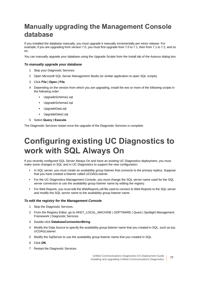## <span id="page-16-0"></span>**Manually upgrading the Management Console database**

If you installed the database manually, you must upgrade it manually incrementally per minor release. For example, if you are upgrading from version 7.0, you must first upgrade from 7.0 to 7.1, then from 7.1 to 7.2, and so on.

You can manually upgrade your database using the Upgrade Scripts from the Install tab of the Autorun dialog box.

#### *To manually upgrade your database*

- 1 Stop your Diagnostic Services.
- 2 Open Microsoft SQL Server Management Studio (or similar application to open SQL scripts).
- 3 Click **File | Open | File**.
- 4 Depending on the version from which you are upgrading, install the two or more of the following scripts in the following order:
	- **▪** UpgradeSchema1.sql
	- **▪** UpgradeSchema2.sql
	- **▪** UpgradeData.sql
	- **▪** UpgradeData2.sql
- 5 Select **Query | Execute**.

The Diagnostic Services restart once the upgrade of the Diagnostic Services is complete.

# <span id="page-16-1"></span>**Configuring existing UC Diagnostics to work with SQL Always On**

If you recently configured SQL Server Always On and have an existing UC Diagnostics deployment, you must make some changes in SQL and in UC Diagnostics to support the new configuration.

- **•** In SQL server, you must create an availability group listener that connects to the primary replica. Suppose that you have created a listener called UCDAGListener.
- **•** For the UC Diagnostics Management Console, you must change the SQL server name used for the SQL server connection to use the availability group listener name by editing the registry.
- **•** For Web Reports, you must edit the WebReports.udl file used to connect to Web Reports to the SQL server and modify the SQL server name to the availability group listener name.

#### *To edit the registry for the Management Console*

- 1 Stop the Diagnostic Services.
- 2 From the Registry Editor, go to HKEY\_LOCAL\_MACHINE | SOFTWARE | Quest | Spotlight Management Framework | Diagnostic Services.
- 3 Double-click **DatabaseConnectionString**.
- 4 Modify the Data Source to specify the availability group listener name that you created in SQL, such as tcp: UCDAGListener.
- 5 Modify the SqlServer to use the availability group listener name that you created in SQL.
- 6 Click **OK**.
- 7 Restart the Diagnostic Services.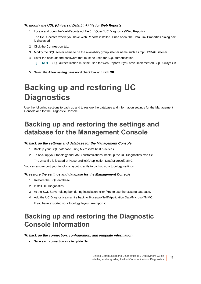#### *To modify the UDL (Universal Data Link) file for Web Reports*

1 Locate and open the WebReports.udl file ( …\Quest\UC Diagnostics\Web Reports).

The file is located where you have Web Reports installed. Once open, the Data Link Properties dialog box is displayed.

- 2 Click the **Connection** tab.
- 3 Modify the SQL server name to be the availability group listener name such as tcp: UCDAGListener.
- 4 Enter the account and password that must be used for SQL authentication.

**NOTE:** SQL authentication must be used for Web Reports if you have implemented SQL Always On.i I

5 Select the **Allow saving password** check box and click **OK**.

# <span id="page-17-0"></span>**Backing up and restoring UC Diagnostics**

Use the following sections to back up and to restore the database and information settings for the Management Console and for the Diagnostic Console.

## <span id="page-17-1"></span>**Backing up and restoring the settings and database for the Management Console**

#### *To back up the settings and database for the Management Console*

- 1 Backup your SQL database using Microsoft's best practices.
- 2 To back up your topology and MMC customizations, back up the UC Diagnostics.msc file.

The .msc file is located at %userprofile%\Application Data\Microsoft\MMC.

You can also export your topology layout to a file to backup your topology settings.

#### *To restore the settings and database for the Management Console*

- 1 Restore the SQL database.
- 2 Install UC Diagnostics.
- 3 At the SQL Server dialog box during installation, click **Yes** to use the existing database.
- 4 Add the UC Diagnostics.msc file back to %userprofile%\Application Data\Microsoft\MMC. If you have exported your topology layout, re-import it.

## <span id="page-17-2"></span>**Backing up and restoring the Diagnostic Console information**

#### *To back up the connection, configuration, and template information*

**•** Save each connection as a template file.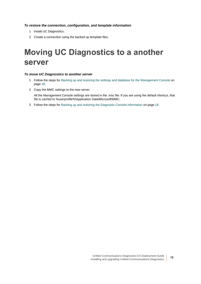#### *To restore the connection, configuration, and template information*

- 1 Install UC Diagnostics.
- 2 Create a connection using the backed up template files.

# <span id="page-18-0"></span>**Moving UC Diagnostics to a another server**

#### *To move UC Diagnostics to another server*

- 1 Follow the steps for [Backing up and restoring the settings and database for the Management Console on](#page-17-1)  [page 18](#page-17-1).
- 2 Copy the MMC settings to the new server.

All the Management Console settings are stored in the .msc file. If you are using the default shortcut, that file is cached to %userprofile%\Application Data\Microsoft\MMC.

3 Follow the steps for [Backing up and restoring the Diagnostic Console information on page 18.](#page-17-2)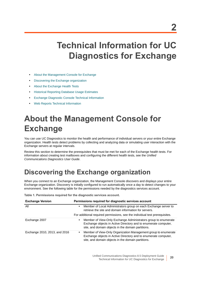# <span id="page-19-0"></span>**Technical Information for UC Diagnostics for Exchange**

- **•** [About the Management Console for Exchange](#page-19-1)
- **•** [Discovering the Exchange organization](#page-19-2)
- **•** [About the Exchange Health Tests](#page-20-0)
- **•** [Historical Reporting Database Usage Estimates](#page-34-1)
- **•** [Exchange Diagnostic Console Technical Information](#page-36-0)
- **•** [Web Reports Technical Information](#page-37-1)

# <span id="page-19-1"></span>**About the Management Console for Exchange**

You can use UC Diagnostics to monitor the health and performance of individual servers or your entire Exchange organization. Health tests detect problems by collecting and analyzing data or simulating user interaction with the Exchange servers at regular intervals.

Review this section to determine the prerequisites that must be met for each of the Exchange health tests. For information about creating test mailboxes and configuring the different health tests, see the *Unified Communications Diagnostics User Guide*.

## <span id="page-19-2"></span>**Discovering the Exchange organization**

When you connect to an Exchange organization, the Management Console discovers and displays your entire Exchange organization. Discovery is initially configured to run automatically once a day to detect changes to your environment. See the following table for the permissions needed by the diagnostics services account.

**Table 1. Permissions required for the diagnostic services account.**

| <b>Exchange Version</b>       | Permissions required for diagnostic services account                                                                                                                                    |
|-------------------------------|-----------------------------------------------------------------------------------------------------------------------------------------------------------------------------------------|
| All                           | Member of Local Administrators group on each Exchange server to<br>retrieve the site and domain information for servers.                                                                |
|                               | For additional required permissions, see the individual test prerequisites.                                                                                                             |
| Exchange 2007                 | Member of View-Only Exchange Administrators group to enumerate<br>Exchange objects in Active Directory and to enumerate computer,<br>site, and domain objects in the domain partitions. |
| Exchange 2010, 2013, and 2016 | Member of View-Only Organization Management group to enumerate<br>Exchange objects in Active Directory and to enumerate computer,<br>site, and domain objects in the domain partitions. |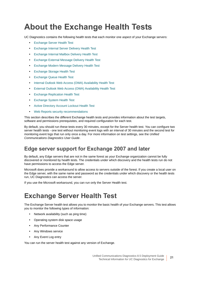# <span id="page-20-0"></span>**About the Exchange Health Tests**

UC Diagnostics contains the following health tests that each monitor one aspect of your Exchange servers:

- **•** [Exchange Server Health Test](#page-20-1)
- **•** [Exchange Internal Server Delivery Health Test](#page-22-0)
- **•** [Exchange Internal Mailbox Delivery Health Test](#page-24-0)
- **•** [Exchange External Message Delivery Health Test](#page-25-0)
- **•** [Exchange Modern Message Delivery Health Test](#page-26-0)
- **•** [Exchange Storage Health Test](#page-28-0)
- **•** [Exchange Queue Health Test](#page-29-0)
- **•** [Internal Outlook Web Access \(OWA\) Availability Health Test](#page-30-0)
- **•** [External Outlook Web Access \(OWA\) Availability Health Test](#page-31-0)
- **•** [Exchange Replication Health Test](#page-32-0)
- **•** [Exchange System Health Test](#page-33-0)
- **•** [Active Directory Account Lockout Health Test](#page-34-0)
- **•** [Web Reports security recommendations](#page-37-2)

This section describes the different Exchange health tests and provides information about the test targets, software and permissions prerequisites, and required configuration for each test.

By default, you should run these tests every 30 minutes, except for the Server health test. You can configure two server health tests - one test without monitoring event logs with an interval of 30 minutes and the second test for monitoring event logs that run only once a day. For more information on test settings, see the *Unified Communications Diagnostics User Guide*.

### **Edge server support for Exchange 2007 and later**

By default, any Edge servers that are not in the same forest as your Exchange organization cannot be fully discovered or monitored by health tests. The credentials under which discovery and the health tests run do not have permissions to access the Edge server.

Microsoft does provide a workaround to allow access to servers outside of the forest. If you create a local user on the Edge server, with the same name and password as the credentials under which discovery or the health tests run, UC Diagnostics can access the server.

If you use the Microsoft workaround, you can run only the Server Health test.

## <span id="page-20-1"></span>**Exchange Server Health Test**

The Exchange Server health test allows you to monitor the basic health of your Exchange servers. This test allows you to monitor the following types of information:

- **•** Network availability (such as ping time)
- **•** Operating system disk space usage
- **•** Any Performance Counter
- **•** Any Windows service
- **•** Any Event Log entry

You can run the server health test against any version of Exchange.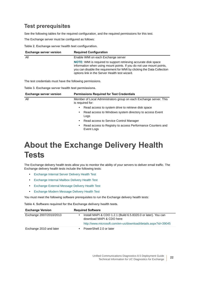### **Test prerequisites**

See the following tables for the required configuration, and the required permissions for this test.

The Exchange server must be configured as follows:

**Table 2. Exchange server health test configuration.**

| <b>Exchange server version</b> | <b>Required Configuration</b>                                                                                                                                                                                                                                               |
|--------------------------------|-----------------------------------------------------------------------------------------------------------------------------------------------------------------------------------------------------------------------------------------------------------------------------|
| All                            | Enable WMI on each Exchange server                                                                                                                                                                                                                                          |
|                                | <b>NOTE:</b> WMI is required to support retrieving accurate disk space<br>information when using mount points. If you do not use mount points,<br>you can disable the requirement for WMI by clicking the Data Collection<br>options link in the Server Health test wizard. |

The test credentials must have the following permissions.

**Table 3. Exchange server health test permissions.**

| <b>Exchange server version</b> | <b>Permissions Required for Test Credentials</b>                                       |
|--------------------------------|----------------------------------------------------------------------------------------|
| All                            | Member of Local Administrators group on each Exchange server. This<br>is required for: |
|                                | Read access to system drive to retrieve disk space<br>$\bullet$                        |
|                                | Read access to Windows system directory to access Event<br>٠<br>Logs                   |
|                                | Read access to Service Control Manager<br>$\bullet$                                    |
|                                | Read access to Registry to access Performance Counters and<br>٠<br>Event Logs          |

# <span id="page-21-0"></span>**About the Exchange Delivery Health Tests**

The Exchange delivery health tests allow you to monitor the ability of your servers to deliver email traffic. The Exchange delivery health tests include the following tests:

- **•** [Exchange Internal Server Delivery Health Test](#page-22-0)
- **•** [Exchange Internal Mailbox Delivery Health Test](#page-24-0)
- **•** [Exchange External Message Delivery Health Test](#page-25-0)
- **•** [Exchange Modern Message Delivery Health Test](#page-26-0)

You must meet the following software prerequisites to run the Exchange delivery health tests:

**Table 4. Software required for the Exchange delivery health tests.**

| <b>Exchange Version</b> | <b>Required Software</b>                                                                   |
|-------------------------|--------------------------------------------------------------------------------------------|
| Exchange 2007/2010/2013 | Install MAPI & CDO 1.2.1 (Build 6.5.8320.0 or later). You can<br>download MAPI & CDO here: |
|                         | http://www.microsoft.com/en-us/download/details.aspx?id=39045                              |
| Exchange 2010 and later | PowerShell 2.0 or later                                                                    |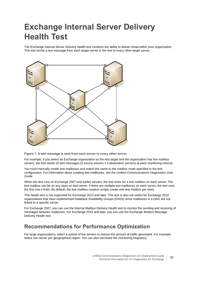# <span id="page-22-0"></span>**Exchange Internal Server Delivery Health Test**

The Exchange Internal Server Delivery health test monitors the ability to deliver email within your organization. This test sends a test message from each target server in the test to every other target server.



**Figure 1. A test message is sent from each server to every other server.**

For example, if you select an Exchange organization as the test target and the organization has five mailbox servers, the test sends 20 test messages (5 source servers x 4 destination servers) at each monitoring interval.

You must manually create test mailboxes and match the name to the mailbox mask specified in the test configuration. For information about creating test mailboxes, see the *Unified Communications Diagnostics User Guide.*

When the test runs on Exchange 2007 and earlier servers, the test looks for a test mailbox on each server. The test mailbox can be on any store on that server. If there are multiple test mailboxes on each server, the test uses the first one it finds. By default, the test mailbox creation scripts create one test mailbox per store.

This health test is not supported for Exchange 2013 and later. This test is also not useful for Exchange 2010 organizations that have implemented Database Availability Groups (DAGs) since mailboxes in a DAG are not linked to a specific server.

For Exchange 2007, you can use the Internal Mailbox Delivery Health test to monitor the sending and receiving of messages between mailboxes. For Exchange 2010 and later, you can use the Exchange Modern Message Delivery Health test.

### **Recommendations for Performance Optimization**

For large organizations, select a subset of the servers to reduce the amount of traffic generated. For example, select one server per geographical region. You can also decrease the monitoring frequency.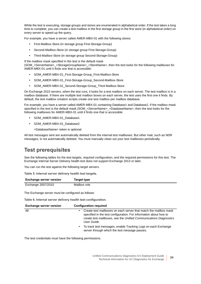While the test is executing, storage groups and stores are enumerated in alphabetical order. If the test takes a long time to complete, you can create a test mailbox in the first storage group in the first store (in alphabetical order) on every server to speed up the query.

For example, you have a server called AMER-MBX-01 with the following stores:

- **•** First-Mailbox-Store (in storage group First-Storage-Group)
- **•** Second-Mailbox-Store (in storage group First-Storage-Group)
- **•** Third-Mailbox-Store (in storage group Second-Storage-Group)

If the mailbox mask specified in the test is the default mask

(SOM\_<ServerName>\_<StorageGroupName>\_<StoreName>, then the test looks for the following mailboxes for AMER-MBX-01 until it finds one that is accessible:

- **•** SOM\_AMER-MBX-01\_First-Storage-Group\_First-Mailbox-Store
- **•** SOM\_AMER-MBX-01\_First-Storage-Group\_Second-Mailbox-Store
- **•** SOM\_AMER-MBX-01\_Second-Storage-Group\_Third-Mailbox-Store

On Exchange 2010 servers, when the test runs, it looks for a test mailbox on each server. The test mailbox is in a mailbox database. If there are multiple test mailbox boxes on each server, the test uses the first one it finds. By default, the test mailbox creation scripts create one test mailbox per mailbox database.

For example, you have a server called AMER-MBX-01 containing Database1 and Database2. If the mailbox mask specified in the test is the default mask (SOM\_<ServerName>\_<DatabaseName>, then the test looks for the following mailboxes for AMER-MBX-01 until it finds one that is accessible:

- **•** SOM\_AMER-MBX-01\_Database1
- **•** SOM\_AMER-MBX-01\_Database2
	- <DatabaseName> token is optional.

All test messages sent are automatically deleted from the internal test mailboxes. But other mail, such as NDR messages, is not automatically deleted. You must manually clean out your test mailboxes periodically.

### **Test prerequisites**

See the following tables for the test targets, required configuration, and the required permissions for this test. The Exchange Internal Server Delivery health test does not support Exchange 2013 or later.

You can run the test against the following target servers.

**Table 5. Internal server delivery health test targets.**

| <b>Exchange server version</b> | Target type  |
|--------------------------------|--------------|
| Exchange 2007/2010             | Mailbox role |

The Exchange server must be configured as follows:

**Table 6. Internal server delivery health test configuration.**

| <b>Exchange server version</b> | <b>Configuration required</b>                                                                                                                                                                                             |
|--------------------------------|---------------------------------------------------------------------------------------------------------------------------------------------------------------------------------------------------------------------------|
| All<br>$\bullet$               | Create test mailboxes on each server that match the mailbox mask<br>specified in the test configuration. For information about how to<br>create test mailboxes, see the Unified Communications Diagnostics<br>User Guide. |
|                                | To track test messages, enable Tracking Logs on each Exchange<br>server through which the test message passes.                                                                                                            |

The test credentials must have the following permissions.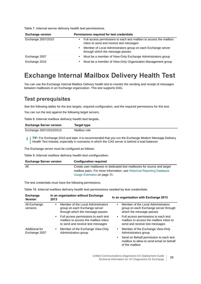| <b>Exchange version</b> | Permissions required for test credentials                                                                     |
|-------------------------|---------------------------------------------------------------------------------------------------------------|
| Exchange 2007/2010      | Full access permissions to each test mailbox to access the mailbox<br>inbox to send and receive test messages |
|                         | Member of Local Administrators group on each Exchange server<br>٠<br>through which the message passes         |
| Exchange 2007           | Must be a member of View-Only Exchange Administrators group<br>٠                                              |
| Exchange 2010           | Must be a member of View-Only Organization Management group<br>٠                                              |

## <span id="page-24-0"></span>**Exchange Internal Mailbox Delivery Health Test**

You can use the Exchange Internal Mailbox Delivery health test to monitor the sending and receipt of messages between mailboxes in an Exchange organization. This test supports DAG.

### **Test prerequisites**

See the following tables for the test targets, required configuration, and the required permissions for this test.

You can run the test against the following target servers.

**Table 8. Internal mailbox delivery health test targets.**

| <b>Exchange Server version</b> | Target type  |
|--------------------------------|--------------|
| Exchange 2007/2010/2013        | Mailbox role |

**TIP:** For Exchange 2010 and later, it is recommended that you run the Exchange Modern Message Delivery f. Health Test instead, especially in scenarios in which the CAS server is behind a load balancer

The Exchange server must be configured as follows:

**Table 9. Internal mailbox delivery health test configuration.**

| <b>Exchange Server version</b> | <b>Configuration required</b>                                           |
|--------------------------------|-------------------------------------------------------------------------|
| All                            | Create user mailboxes or dedicated test mailboxes for source and target |
|                                | mailbox pairs. For more information, see Historical Reporting Database  |
|                                | Usage Estimates on page 35.                                             |

The test credentials must have the following permissions.

**Table 10. Internal mailbox delivery health test permissions needed by test credentials.**

| <b>Exchange</b><br><b>Version</b> | In an organization without Exchange<br>2013                                                                        | In an organization with Exchange 2013                                                                                 |
|-----------------------------------|--------------------------------------------------------------------------------------------------------------------|-----------------------------------------------------------------------------------------------------------------------|
| All Exchange<br>versions          | Member of the Local Administrators<br>٠<br>group on each Exchange server<br>through which the message passes       | Member of the Local Administrators<br>٠<br>group on each Exchange server through<br>which the message passes          |
|                                   | • Full access permissions to each test<br>mailbox to access the mailbox inbox<br>to send and receive test messages | Full access permissions to each test<br>٠<br>mailbox to access the mailbox inbox to<br>send and receive test messages |
| Additional for<br>Exchange 2007   | Member of the Exchange View-Only<br>٠<br>Administrators group                                                      | Member of the Exchange View-Only<br>$\bullet$<br>Administrators group                                                 |
|                                   |                                                                                                                    | Send on Behalf permission to each test<br>$\bullet$<br>mailbox to allow to send email on behalf<br>of the mailbox     |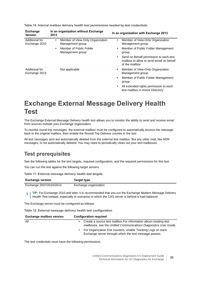| <b>Exchange</b><br><b>Version</b> | In an organization without Exchange<br>2013                                                                                   | In an organization with Exchange 2013                                                                                                                                                                     |
|-----------------------------------|-------------------------------------------------------------------------------------------------------------------------------|-----------------------------------------------------------------------------------------------------------------------------------------------------------------------------------------------------------|
| Additional for<br>Exchange 2010   | Member of View-Only Organization<br>$\bullet$<br>Management group<br>Member of Public Folder<br>$\bullet$<br>Management group | Member of View-Only Organization<br>$\bullet$<br>Management group<br>Member of Public Folder Management<br>$\bullet$<br>group                                                                             |
|                                   |                                                                                                                               | Send on Behalf permission to each test<br>$\bullet$<br>mailbox to allow to send email on behalf<br>of the mailbox                                                                                         |
| Additional for<br>Exchange 2013   | Not applicable                                                                                                                | Member of View-Only Organization<br>٠<br>Management group<br>Member of Public Folder Management<br>$\bullet$<br>group<br>All extended rights permission to each<br>٠<br>test mailbox in Active Directory. |

**Table 10. Internal mailbox delivery health test permissions needed by test credentials.**

## <span id="page-25-0"></span>**Exchange External Message Delivery Health Test**

The Exchange External Message Delivery health test allows you to monitor the ability to send and receive email from sources outside your Exchange organization.

To monitor round-trip messages, the external mailbox must be configured to automatically bounce the message back to the original mailbox, then enable the Round-Trip Delivery counter in the test.

All test messages sent are automatically deleted from the external test mailbox. But any other mail, like NDR messages, is not automatically deleted. You may need to periodically clean out your test mailboxes.

### **Test prerequisites**

See the following tables for the test targets, required configuration, and the required permissions for this test.

You can run the test against the following target servers.

**Table 11. External message delivery health test targets.**

| <b>Exchange version</b> | Target type           |
|-------------------------|-----------------------|
| Exchange 2007/2010/2013 | Exchange organization |

**TIP:** For Exchange 2010 and later, it is recommended that you run the Exchange Modern Message Delivery i Health Test instead, especially in scenarios in which the CAS server is behind a load balancer

The Exchange server must be configured as follows:

**Table 12. External message delivery health test configuration**

| <b>Exchange mailbox version</b> | <b>Configuration required</b>                                                                                                          |
|---------------------------------|----------------------------------------------------------------------------------------------------------------------------------------|
| All                             | Create a source test mailbox. For information about creating test<br>mailboxes, see the Unified Communications Diagnostics User Guide. |
|                                 | For Organization Exit counters, enable Tracking Logs on each<br>Exchange server through which the test message passes.                 |

The test credentials must have the following permissions.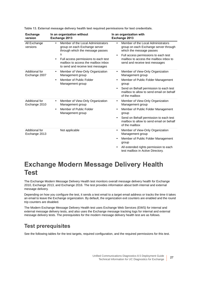| <b>Exchange</b><br>version      | In an organization without<br>Exchange 2013                                                                                                                                                                                                                | In an organization with<br>Exchange 2013                                                                                                                                                                                                              |
|---------------------------------|------------------------------------------------------------------------------------------------------------------------------------------------------------------------------------------------------------------------------------------------------------|-------------------------------------------------------------------------------------------------------------------------------------------------------------------------------------------------------------------------------------------------------|
| All Exchange<br>versions        | Member of the Local Administrators<br>$\bullet$<br>group on each Exchange server<br>through which the message passes<br>s<br>Full access permissions to each test<br>$\bullet$<br>mailbox to access the mailbox inbox<br>to send and receive test messages | Member of the Local Administrators<br>$\bullet$<br>group on each Exchange server through<br>which the message passes<br>Full access permissions to each test<br>$\bullet$<br>mailbox to access the mailbox inbox to<br>send and receive test messages |
| Additional for<br>Exchange 2007 | Member of View-Only Organization<br>$\bullet$<br>Management group<br>Member of Public Folder<br>$\bullet$<br>Management group                                                                                                                              | Member of View-Only Organization<br>$\bullet$<br>Management group<br>Member of Public Folder Management<br>٠<br>group<br>Send on Behalf permission to each test<br>$\bullet$<br>mailbox to allow to send email on behalf<br>of the mailbox            |
| Additional for<br>Exchange 2010 | Member of View-Only Organization<br>$\bullet$<br>Management group<br>Member of Public Folder<br>$\bullet$<br>Management group                                                                                                                              | Member of View-Only Organization<br>$\bullet$<br>Management group<br>Member of Public Folder Management<br>$\bullet$<br>group<br>Send on Behalf permission to each test<br>$\bullet$<br>mailbox to allow to send email on behalf<br>of the mailbox    |
| Additional for<br>Exchange 2013 | Not applicable                                                                                                                                                                                                                                             | Member of View-Only Organization<br>$\bullet$<br>Management group<br>Member of Public Folder Management<br>$\bullet$<br>group<br>All extended rights permission to each<br>test mailbox in Active Directory.                                          |

**Table 13. External message delivery health test required permissions for test credentials.**

## <span id="page-26-0"></span>**Exchange Modern Message Delivery Health Test**

The Exchange Modern Message Delivery Health test monitors overall message delivery health for Exchange 2010, Exchange 2013, and Exchange 2016. The test provides information about both internal and external message delivery.

Depending on how you configure the test, it sends a test email to a target email address or tracks the time it takes an email to leave the Exchange organization. By default, the organization exit counters are enabled and the round trip counters are disabled.

The Modern Exchange Message Delivery Health test uses Exchange Web Services (EWS) for internal and external message delivery tests, and also uses the Exchange message tracking logs for internal and external message delivery tests. The prerequisites for the modern message delivery health test are as follows.

### **Test prerequisites**

See the following tables for the test targets, required configuration, and the required permissions for this test.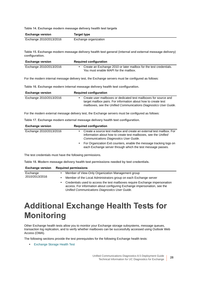**Table 14. Exchange modern message delivery health test targets**

| <b>Exchange version</b> | Target type           |
|-------------------------|-----------------------|
| Exchange 2010/2013/2016 | Exchange organization |

**Table 15. Exchange modern message delivery health test general (internal and external message delivery) configuration.**

| <b>Exchange version</b> | <b>Required configuration</b>                                                                               |
|-------------------------|-------------------------------------------------------------------------------------------------------------|
| Exchange 2010/2013/2016 | Create an Exchange 2010 or later mailbox for the test credentials.<br>You must enable MAPI for the mailbox. |

For the modern internal message delivery test, the Exchange servers must be configured as follows:

**Table 16. Exchange modern internal message delivery health test configuration.**

| <b>Exchange version</b> | <b>Required configuration</b>                                                                                                                                                                           |
|-------------------------|---------------------------------------------------------------------------------------------------------------------------------------------------------------------------------------------------------|
| Exchange 2010/2013/2016 | Create user mailboxes or dedicated test mailboxes for source and<br>target mailbox pairs. For information about how to create test<br>mailboxes, see the Unified Communications Diagnostics User Guide. |

For the modern external message delivery test, the Exchange servers must be configured as follows:

**Table 17. Exchange modern external message delivery health test configuration.**

| <b>Exchange version</b> | <b>Required configuration</b>                                                                                                                                                             |
|-------------------------|-------------------------------------------------------------------------------------------------------------------------------------------------------------------------------------------|
| Exchange 2010/2013/2016 | Create a source test mailbox and create an external test mailbox. For<br>information about how to create test mailboxes, see the Unified<br><b>Communications Diagnostics User Guide.</b> |
|                         | For Organization Exit counters, enable the message tracking logs on<br>each Exchange server through which the test message passes.                                                        |

The test credentials must have the following permissions.

**Table 18. Modern message delivery health test permissions needed by test credentials.**

| <b>Exchange version</b> | <b>Required permissions</b>                                                                                                                                                                                      |  |
|-------------------------|------------------------------------------------------------------------------------------------------------------------------------------------------------------------------------------------------------------|--|
| Exchange                | Member of View-Only Organization Management group<br>٠                                                                                                                                                           |  |
| 2010/2013/2016          | Member of the Local Administrators group on each Exchange server<br>٠                                                                                                                                            |  |
|                         | Credentials used to access the test mailboxes require Exchange impersonation<br>٠<br>access. For information about configuring Exchange impersonation, see the<br>Unified Communications Diagnostics User Guide. |  |

# <span id="page-27-0"></span>**Additional Exchange Health Tests for Monitoring**

Other Exchange health tests allow you to monitor your Exchange storage subsystems, message queues, transaction log replication, and to verify whether mailboxes can be successfully accessed using Outlook Web Access (OWA).

The following sections provide the test prerequisites for the following Exchange health tests:

**•** [Exchange Storage Health Test](#page-28-0)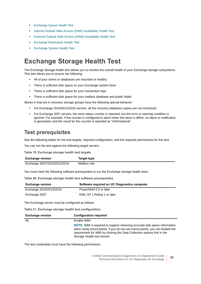- **•** [Exchange Queue Health Test](#page-29-0)
- **•** [Internal Outlook Web Access \(OWA\) Availability Health Test](#page-30-0)
- **•** [External Outlook Web Access \(OWA\) Availability Health Test](#page-31-0)
- **•** [Exchange Replication Health Test](#page-32-0)
- **•** [Exchange System Health Test](#page-33-0)

## <span id="page-28-0"></span>**Exchange Storage Health Test**

The Exchange Storage health test allows you to monitor the overall health of your Exchange storage subsystems. This test allows you to ensure the following:

- **•** All of your stores or databases are mounted or healthy
- **•** There is sufficient disk space on your Exchange system drive
- **•** There is sufficient disk space for your transaction logs
- **•** There is sufficient disk space for your mailbox database and public folder

Stores in that are in recovery storage groups have the following special behavior:

- **•** For Exchange 2010/2013/2016 servers, all the recovery database copies are not monitored.
- **•** For Exchange 2007 servers, the store status counter is reported, but the error or warning condition is ignored. For example, if the counter is configured to alarm when the store is offline, no alarm or notification is generated, and the result for the counter is reported as "Informational".

### **Test prerequisites**

See the following tables for the test targets, required configuration, and the required permissions for this test.

You can run the test against the following target servers.

**Table 19. Exchange storage health test targets.**

| <b>Exchange version</b>      | Target type  |
|------------------------------|--------------|
| Exchange 2007/2010/2013/2016 | Mailbox role |

You must meet the following software prerequisites to run the Exchange storage health tests:

**Table 20. Exchange storage health test software prerequisites.**

| <b>Exchange version</b> | Software required on UC Diagnostics computer |
|-------------------------|----------------------------------------------|
| Exchange 2010/2013/2016 | PowerShell 2.0 or later                      |
| Exchange 2007           | EMC SP 1 Rollup 1 or later                   |

The Exchange server must be configured as follows:

**Table 21. Exchange storage health test configuration.**

| <b>Exchange version</b> | <b>Configuration required</b>                                                                                                                                                                                                                                                |
|-------------------------|------------------------------------------------------------------------------------------------------------------------------------------------------------------------------------------------------------------------------------------------------------------------------|
| All                     | Enable WMI                                                                                                                                                                                                                                                                   |
|                         | <b>NOTE:</b> WMI is required to support retrieving accurate disk space information<br>when using mount points. If you do not use mount points, you can disable the<br>requirement for WMI by clicking the Data Collection options link in the<br>Storage Health test wizard. |

The test credentials must have the following permissions.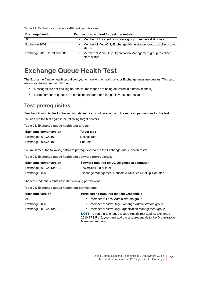**Exchange Version Permissions required for test credentials** All **•** Member of Local Administrators group to retrieve disk space Exchange 2007 **•** Member of View-Only Exchange Administrators group to collect store status Exchange 2010, 2013 and 2016 **•** Member of View-Only Organization Management group to collect store status

**Table 22. Exchange storage health test permissions.**

## <span id="page-29-0"></span>**Exchange Queue Health Test**

The Exchange Queue health test allows you to monitor the health of your Exchange message queues. This test allows you to ensure the following:

- **•** Messages are not backing up (that is, messages are being delivered in a timely manner)
- **•** Large number of queues are not being created (for example in virus outbreaks)

### **Test prerequisites**

See the following tables for the test targets, required configuration, and the required permissions for this test.

You can run the test against the following target servers.

**Table 23. Exchange queue health test targets.**

| <b>Exchange server version</b> | Target type  |
|--------------------------------|--------------|
| Exchange 2013/2016             | Mailbox role |
| Exchange 2007/2010             | Hub role     |

You must meet the following software prerequisites to run the Exchange queue health tests:

**Table 24. Exchange queue health test software prerequisites.**

| <b>Exchange server version</b> | Software required on UC Diagnostics computer             |
|--------------------------------|----------------------------------------------------------|
| Exchange 2010/2013/2016        | PowerShell 2.0 or later                                  |
| Exchange 2007                  | Exchange Management Console (EMC) SP 1 Rollup 1 or later |

The test credentials must have the following permissions.

**Table 25. Exchange queue health test permissions.**

| <b>Exchange version</b> | <b>Permissions Required for Test Credentials</b>                                                                                                                                                                                   |
|-------------------------|------------------------------------------------------------------------------------------------------------------------------------------------------------------------------------------------------------------------------------|
| All                     | Member of Local Administrators group<br>$\bullet$                                                                                                                                                                                  |
| Exchange 2007           | Member of View-Only Exchange Administrators group<br>٠                                                                                                                                                                             |
| Exchange 2010/2013/2016 | Member of View-Only Organization Management group<br>$\bullet$<br><b>NOTE:</b> To run the Exchange Queue Health Test against Exchange<br>2010 SP3 RU 6, you must add the test credentials to the Organization<br>Management group. |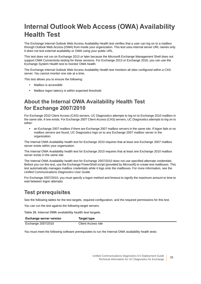## <span id="page-30-0"></span>**Internal Outlook Web Access (OWA) Availability Health Test**

The Exchange Internal Outlook Web Access Availability Health test verifies that a user can log on to a mailbox through Outlook Web Access (OWA) from inside your organization. This test uses internal server URL names only. It does not test external availability or OWA using your public URL.

This test does not run on Exchange 2013 or later because the Microsoft Exchange Management Shell does not support OWA Connectivity testing for these versions. For Exchange 2013 or Exchange 2016, you can use the Exchange System Health test to monitor OWA health.

The Exchange Internal Outlook Web Access Availability Health test monitors all sites configured within a CAS server. You cannot monitor one site at a time.

This test allows you to ensure the following:

- **•** Mailbox is accessible
- **•** Mailbox logon latency is within expected threshold

### **About the Internal OWA Availability Health Test for Exchange 2007/2010**

For Exchange 2010 Client Access (CAS) servers, UC Diagnostics attempts to log on to Exchange 2010 mailbox in the same site, if one exists. For Exchange 2007 Client Access (CAS) servers, UC Diagnostics attempts to log on to either:

**•** an Exchange 2007 mailbox if there are Exchange 2007 mailbox servers in the same site. If logon fails or no mailbox servers are found, UC Diagnostics logs on to any Exchange 2007 mailbox server in the organization.

The Internal OWA Availability health test for Exchange 2010 requires that at least one Exchange 2007 mailbox server exists within your organization.

The Internal OWA Availability health test for Exchange 2010 requires that at least one Exchange 2010 mailbox server exists in the same site.

The Internal OWA Availability health test for Exchange 2007/2010 does not use specified alternate credentials. Before you run this test, use the Exchange PowerShell script (provided by Microsoft) to create test mailboxes. This test automatically manages mailbox credentials while it logs onto the mailboxes. For more information, see the *Unified Communications Diagnostics User Guide.*

For Exchange 2007/2010, you must specify a logon method and timeout to signify the maximum amount to time to wait between logon attempts.

### **Test prerequisites**

See the following tables for the test targets, required configuration, and the required permissions for this test.

You can run the test against the following target servers.

**Table 26. Internal OWA availability health test targets.**

| <b>Exchange server version</b> | Target type        |
|--------------------------------|--------------------|
| Exchange 2007/2010             | Client Access role |

You must meet the following software prerequisites to run the Internal OWA availability health tests: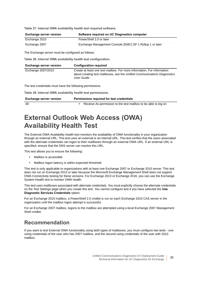**Table 27. Internal OWA availability health test required software.**

| <b>Exchange server version</b> | Software required on UC Diagnostics computer             |
|--------------------------------|----------------------------------------------------------|
| Exchange 2010                  | PowerShell 2.0 or later                                  |
| Exchange 2007                  | Exchange Management Console (EMC) SP 1 Rollup 1 or later |

The Exchange server must be configured as follows:

**Table 28. Internal OWA availability health test configuration.**

| <b>Exchange server version</b>                               | <b>Configuration required</b>                                                                                                                                       |
|--------------------------------------------------------------|---------------------------------------------------------------------------------------------------------------------------------------------------------------------|
| Exchange 2007/2010                                           | Create at least one test mailbox. For more information, For information<br>about creating test mailboxes, see the Unified Communications Diagnostics<br>User Guide. |
| The test credentials must have the following permissions.    |                                                                                                                                                                     |
| Table 29. Internal OWA availability health test permissions. |                                                                                                                                                                     |
| <b>Exchange server version</b>                               | Permissions required for test credentials                                                                                                                           |
| All                                                          | Receive As permission to the test mailbox to be able to log on                                                                                                      |

## <span id="page-31-0"></span>**External Outlook Web Access (OWA) Availability Health Test**

The External OWA Availability health test monitors the availability of OWA functionality in your organization through an external URL. This test uses an external or an internal URL. This test verifies that the users associated with the alternate credentials can logon to their mailboxes through an external OWA URL. If an external URL is specified, ensure that the DNS server can resolve this URL.

This test allows you to ensure the following:

- **•** Mailbox is accessible
- **•** Mailbox logon latency is within expected threshold.

This test is only applicable to organizations with at least one Exchange 2007 or Exchange 2010 server. This test does not run on Exchange 2013 or later because the Microsoft Exchange Management Shell does not support OWA Connectivity testing for these versions. For Exchange 2013 or Exchange 2016, you can use the Exchange System Health test to monitor OWA health.

This test uses mailboxes associated with alternate credentials. You must explicitly choose the alternate credentials on the Test Settings page when you create this test. You cannot configure test if you have selected the **Use Diagnostic Services Credentials** option.

For an Exchange 2010 mailbox, a PowerShell 2.0 cmdlet is run on each Exchange 2010 CAS server in the organization until the mailbox logon attempt is successful.

For an Exchange 2007 mailbox, logons to the mailbox are attempted using a local Exchange 2007 Management Shell cmdlet.

### **Recommendation**

If you want to test External OWA functionality using both types of mailboxes, you must configure two tests - one using credentials of the user who has 2007 mailbox, and the second using credentials of the user with 2010 mailbox.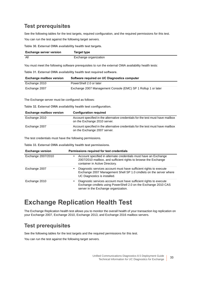### **Test prerequisites**

See the following tables for the test targets, required configuration, and the required permissions for this test. You can run the test against the following target servers.

**Table 30. External OWA availability health test targets.**

| <b>Exchange server version</b> | Target type           |
|--------------------------------|-----------------------|
| All                            | Exchange organization |

You must meet the following software prerequisites to run the external OWA availability health tests:

**Table 31. External OWA availability health test required software.**

| <b>Exchange mailbox version</b> | Software required on UC Diagnostics computer                  |
|---------------------------------|---------------------------------------------------------------|
| Exchange 2010                   | PowerShell 2.0 or later                                       |
| Exchange 2007                   | Exchange 2007 Management Console (EMC) SP 1 Rollup 1 or later |

The Exchange server must be configured as follows:

**Table 32. External OWA availability health test configuration.**

| <b>Exchange mailbox version</b> | <b>Configuration required</b>                                                                                   |
|---------------------------------|-----------------------------------------------------------------------------------------------------------------|
| Exchange 2010                   | Account specified in the alternative credentials for the test must have mailbox<br>on the Exchange 2010 server. |
| Exchange 2007                   | Account specified in the alternative credentials for the test must have mailbox<br>on the Exchange 2007 server. |

The test credentials must have the following permissions.

**Table 33. External OWA availability health test permissions.**

| <b>Exchange version</b> | Permissions required for test credentials                                                                                                                                    |
|-------------------------|------------------------------------------------------------------------------------------------------------------------------------------------------------------------------|
| Exchange 2007/2010      | Account specified in alternate credentials must have an Exchange<br>٠<br>2007/2010 mailbox, and sufficient rights to browse the Exchange<br>container in Active Directory.   |
| Exchange 2007           | Diagnostic services account must have sufficient rights to execute<br>Exchange 2007 Management Shell SP 1.0 cmdlets on the server where<br>UC Diagnostics is installed.      |
| Exchange 2010           | Diagnostic services account must have sufficient rights to execute<br>Exchange cmdlets using PowerShell 2.0 on the Exchange 2010 CAS<br>server in the Exchange organization. |

## <span id="page-32-0"></span>**Exchange Replication Health Test**

The Exchange Replication health test allows you to monitor the overall health of your transaction log replication on your Exchange 2007, Exchange 2010, Exchange 2013, and Exchange 2016 mailbox servers.

### **Test prerequisites**

See the following tables for the test targets and the required permissions for this test.

You can run the test against the following target servers.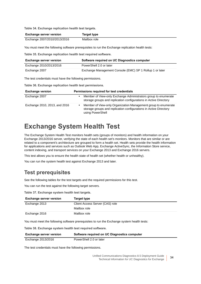**Table 34. Exchange replication health test targets.**

| <b>Exchange server version</b> | Target type  |
|--------------------------------|--------------|
| Exchange 2007/2010/2013/2016   | Mailbox role |

You must meet the following software prerequisites to run the Exchange replication health tests:

**Table 35. Exchange replication health test required software.**

| <b>Exchange server version</b>                            | Software required on UC Diagnostics computer             |
|-----------------------------------------------------------|----------------------------------------------------------|
| Exchange 2010/2013/2016                                   | PowerShell 2.0 or later                                  |
| Exchange 2007                                             | Exchange Management Console (EMC) SP 1 Rollup 1 or later |
| The test credentials must have the following permissions. |                                                          |

**Table 36. Exchange replication health test permissions.**

| <b>Exchange version</b>       | Permissions required for test credentials                                                                                                               |
|-------------------------------|---------------------------------------------------------------------------------------------------------------------------------------------------------|
| Exchange 2007                 | Member of View-only Exchange Administrators group to enumerate<br>storage groups and replication configurations in Active Directory                     |
| Exchange 2010, 2013, and 2016 | Member of View-only Organization Management group to enumerate<br>storage groups and replication configurations in Active Directory<br>using PowerShell |

## <span id="page-33-0"></span>**Exchange System Health Test**

The Exchange System Health Test monitors health sets (groups of monitors) and health information on your Exchange 2013/2016 server, verifying the state of each health set's monitors. Monitors that are similar or are related to a component's architecture are grouped to form a health set. Health sets provide the health information for applications and services such as Outlook Web App, Exchange ActiveSync, the Information Store service, content indexing, and transport services on your Exchange 2013 and Exchange 2016 servers.

This test allows you to ensure the health state of health set (whether health or unhealthy).

You can run the system health test against Exchange 2013 and later.

### **Test prerequisites**

See the following tables for the test targets and the required permissions for this test.

You can run the test against the following target servers.

**Table 37. Exchange system health test targets.**

| <b>Exchange server version</b> | Target type                     |
|--------------------------------|---------------------------------|
| Exchange 2013                  | Client Access Server (CAS) role |
|                                | Mailbox role                    |
| Exchange 2016                  | Mailbox role                    |

You must meet the following software prerequisites to run the Exchange system health tests:

**Table 38. Exchange system health test required software.**

| <b>Exchange server version</b> | Software required on UC Diagnostics computer |
|--------------------------------|----------------------------------------------|
| Exchange 2013/2016             | PowerShell 2.0 or later                      |

The test credentials must have the following permissions.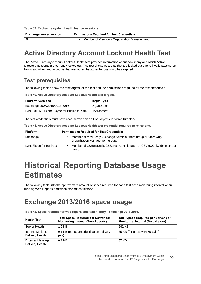**Table 39. Exchange system health test permissions.**

**Exchange server version Permissions Required for Test Credentials**

All **•** Member of View-only Organization Management

## <span id="page-34-0"></span>**Active Directory Account Lockout Health Test**

The Active Directory Account Lockout Health test provides information about how many and which Active Directory accounts are currently locked out. The test shows accounts that are locked out due to invalid passwords being submitted and accounts that are locked because the password has expired.

### **Test prerequisites**

The following tables show the test targets for the test and the permissions required by the test credentials.

**Table 40. Active Directory Account Lockout Health test targets.**

| <b>Platform Versions</b>                   | <b>Target Type</b> |
|--------------------------------------------|--------------------|
| Exchange 2007/2010/2013/2016               | Organization       |
| Lync 2010/2013 and Skype for Business 2015 | Environment        |

The test credentials must have read permission on User objects in Active Directory.

**Table 41. Active Directory Account Lockout Health test credential required permissions.**

| <b>Platform</b>         | <b>Permissions Required for Test Credentials</b>                                                 |  |
|-------------------------|--------------------------------------------------------------------------------------------------|--|
| Exchange                | Member of View-Only Exchange Administrators group or View-Only<br>Organization Management group. |  |
| Lync/Skype for Business | Member of CSHelpDesk, CSServerAdministrator, or CSViewOnlyAdministrator<br>group                 |  |

# <span id="page-34-1"></span>**Historical Reporting Database Usage Estimates**

The following table lists the approximate amount of space required for each test each monitoring interval when running Web Reports and when storing test history:

## <span id="page-34-2"></span>**Exchange 2013/2016 space usage**

**Table 42. Space required for web reports and test history - Exchange 2013/2016.**

| <b>Health Test</b>                         | <b>Total Space Required per Server per</b><br><b>Monitoring Interval (Web Reports)</b> | <b>Total Space Required per Server per</b><br><b>Monitoring Interval (Test History)</b> |
|--------------------------------------------|----------------------------------------------------------------------------------------|-----------------------------------------------------------------------------------------|
| Server Health                              | 1.2 KB                                                                                 | 242 KB                                                                                  |
| Internal Mailbox<br>Delivery Health        | 0.1 KB (per source/destination delivery<br>pair)                                       | 75 KB (for a test with 50 pairs)                                                        |
| <b>External Message</b><br>Delivery Health | $0.1$ KB                                                                               | 37 KB                                                                                   |

Unified Communications Diagnostics 8.5 Deployment Guide Technical Information for UC Diagnostics for Exchange **<sup>35</sup>**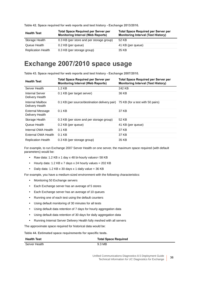| <b>Health Test</b>        | <b>Total Space Required per Server per</b><br><b>Monitoring Interval (Web Reports)</b> | <b>Total Space Required per Server per</b><br><b>Monitoring Interval (Test History)</b> |
|---------------------------|----------------------------------------------------------------------------------------|-----------------------------------------------------------------------------------------|
| Storage Health            | 0.3 KB (per store and per storage group)                                               | 52 KB                                                                                   |
| Queue Health              | 0.2 KB (per queue)                                                                     | 41 KB (per queue)                                                                       |
| <b>Replication Health</b> | 0.3 KB (per storage group)                                                             | 35 KB                                                                                   |

**Table 42. Space required for web reports and test history - Exchange 2013/2016.**

## <span id="page-35-0"></span>**Exchange 2007/2010 space usage**

**Table 43. Space required for web reports and test history - Exchange 2007/2010.**

| <b>Health Test</b>                         | <b>Total Space Required per Server per</b><br><b>Monitoring Interval (Web Reports)</b> | <b>Total Space Required per Server per</b><br><b>Monitoring Interval (Test History)</b> |
|--------------------------------------------|----------------------------------------------------------------------------------------|-----------------------------------------------------------------------------------------|
| Server Health                              | $1.2$ KB                                                                               | 242 KB                                                                                  |
| Internal Server<br>Delivery Health         | 0.1 KB (per target server)                                                             | 36 KB                                                                                   |
| Internal Mailbox<br>Delivery Health        | 0.1 KB (per source/destination delivery pair) 75 KB (for a test with 50 pairs)         |                                                                                         |
| <b>External Message</b><br>Delivery Health | $0.1$ KB                                                                               | 37 KB                                                                                   |
| Storage Health                             | 0.3 KB (per store and per storage group)                                               | 52 KB                                                                                   |
| Queue Health                               | 0.2 KB (per queue)                                                                     | 41 KB (per queue)                                                                       |
| Internal OWA Health                        | $0.1$ KB                                                                               | 37 KB                                                                                   |
| External OWA Health                        | $0.1$ KB                                                                               | 37 KB                                                                                   |
| <b>Replication Health</b>                  | 0.3 KB (per storage group)                                                             | 35 KB                                                                                   |

For example, to run Exchange 2007 Server Health on one server, the maximum space required (with default parameters) would be:

- **•** Raw data: 1.2 KB x 1 day x 48 bi-hourly values= 58 KB
- **•** Hourly data: 1.2 KB x 7 days x 24 hourly values = 202 KB
- **•** Daily data: 1.2 KB x 30 days x 1 daily value = 36 KB

For example, you have a medium-sized environment with the following characteristics:

- **•** Monitoring 50 Exchange servers
- **•** Each Exchange server has an average of 5 stores
- **•** Each Exchange server has an average of 10 queues
- **•** Running one of each test using the default counters
- **•** Using default monitoring of 30 minutes for all tests
- **•** Using default data retention of 7 days for hourly aggregation data
- **•** Using default data retention of 30 days for daily aggregation data
- **•** Running Internal Server Delivery Health fully meshed with all servers

The approximate space required for historical data would be:

**Table 44. Estimated space requirements for specific tests.**

| <b>Health Test</b> | <b>Total Space Required</b> |
|--------------------|-----------------------------|
| Server Health      | 9.3 MB                      |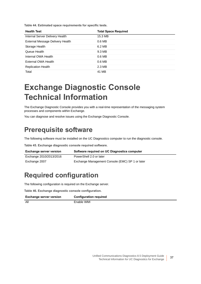**Table 44. Estimated space requirements for specific tests.**

| <b>Health Test</b>               | <b>Total Space Required</b> |
|----------------------------------|-----------------------------|
| Internal Server Delivery Health  | 15.3 MB                     |
| External Message Delivery Health | 0.6 <sub>MB</sub>           |
| Storage Health                   | 6.2 MB                      |
| Queue Health                     | 9.3 MB                      |
| Internal OWA Health              | $0.6$ MB                    |
| External OWA Health              | $0.6$ MB                    |
| <b>Replication Health</b>        | 2.3 MB                      |
| Total                            | 41 MB                       |

# **Exchange Diagnostic Console Technical Information**

The Exchange Diagnostic Console provides you with a real-time representation of the messaging system processes and components within Exchange.

You can diagnose and resolve issues using the Exchange Diagnostic Console.

## **Prerequisite software**

The following software must be installed on the UC Diagnostics computer to run the diagnostic console.

**Table 45. Exchange diagnostic console required software.**

| <b>Exchange server version</b> | Software required on UC Diagnostics computer    |
|--------------------------------|-------------------------------------------------|
| Exchange 2010/2013/2016        | PowerShell 2.0 or later                         |
| Exchange 2007                  | Exchange Management Console (EMC) SP 1 or later |

## **Required configuration**

The following configuration is required on the Exchange server.

**Table 46. Exchange diagnostic console configuration.**

| <b>Exchange server version</b> | <b>Configuration required</b> |
|--------------------------------|-------------------------------|
| All                            | Enable WMI                    |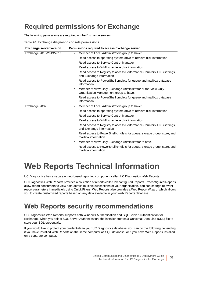## **Required permissions for Exchange**

The following permissions are required on the Exchange servers.

**Table 47. Exchange diagnostic console permissions.**

| <b>Exchange server version</b> | Permissions required to access Exchange server                                                                     |
|--------------------------------|--------------------------------------------------------------------------------------------------------------------|
| Exchange 2010/2013/2016        | Member of Local Administrators group to have:<br>$\bullet$                                                         |
|                                | Read access to operating system drive to retrieve disk information                                                 |
|                                | Read access to Service Control Manager                                                                             |
|                                | Read access to WMI to retrieve disk information                                                                    |
|                                | Read access to Registry to access Performance Counters, DNS settings,<br>and Exchange information                  |
|                                | Read access to PowerShell cmdlets for queue and mailbox database<br>information                                    |
|                                | Member of View-Only Exchange Administrator or the View-Only<br>$\bullet$<br>Organization Management group to have: |
|                                | Read access to PowerShell cmdlets for queue and mailbox database<br>information                                    |
| Exchange 2007                  | Member of Local Administrators group to have:<br>$\bullet$                                                         |
|                                | Read access to operating system drive to retrieve disk information                                                 |
|                                | Read access to Service Control Manager                                                                             |
|                                | Read access to WMI to retrieve disk information                                                                    |
|                                | Read access to Registry to access Performance Counters, DNS settings,<br>and Exchange information                  |
|                                | Read access to PowerShell cmdlets for queue, storage group, store, and<br>mailbox information                      |
|                                | Member of View-Only Exchange Administrator to have:<br>٠                                                           |
|                                | Read access to PowerShell cmdlets for queue, storage group, store, and<br>mailbox information                      |

# <span id="page-37-1"></span>**Web Reports Technical Information**

UC Diagnostics has a separate web-based reporting component called UC Diagnostics Web Reports.

UC Diagnostics Web Reports provides a collection of reports called Preconfigured Reports. Preconfigured Reports allow report consumers to view data across multiple subsections of your organization. You can change relevant report parameters immediately using Quick Filters. Web Reports also provides a Web Report Wizard, which allows you to create customized reports based on any data available in your Web Reports database.

### <span id="page-37-0"></span>**Web Reports security recommendations**

UC Diagnostics Web Reports supports both Windows Authentication and SQL Server Authentication for Exchange. When you select SQL Server Authentication, the installer creates a Universal Data Link (UDL) file to store your SQL credentials.

If you would like to protect your credentials to your UC Diagnostics database, you can do the following depending if you have installed Web Reports on the same computer as SQL database, or if you have Web Reports installed on a separate computer.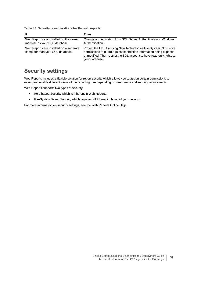**Table 48. Security considerations for the web reports.**

| lf                                                                         | Then                                                                                                                                                                                                                                 |
|----------------------------------------------------------------------------|--------------------------------------------------------------------------------------------------------------------------------------------------------------------------------------------------------------------------------------|
| Web Reports are installed on the same<br>machine as your SQL database      | Change authentication from SQL Server Authentication to Windows<br>Authentication.                                                                                                                                                   |
| Web Reports are installed on a separate<br>computer than your SQL database | Protect the UDL file using New Technologies File System (NTFS) file<br>permissions to guard against connection information being exposed<br>or modified. Then restrict the SQL account to have read-only rights to<br>your database. |

### **Security settings**

Web Reports includes a flexible solution for report security which allows you to assign certain permissions to users, and enable different views of the reporting tree depending on user needs and security requirements.

Web Reports supports two types of security:

- **•** Role-based Security which is inherent in Web Reports.
- **•** File-System Based Security which requires NTFS manipulation of your network.

For more information on security settings, see the Web Reports Online Help.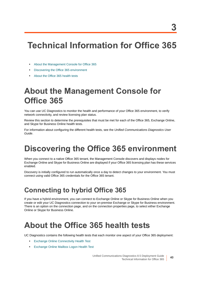# **Technical Information for Office 365**

- **•** [About the Management Console for Office 365](#page-39-0)
- **•** [Discovering the Office 365 environment](#page-39-1)
- **•** [About the Office 365 health tests](#page-39-2)

## <span id="page-39-0"></span>**About the Management Console for Office 365**

You can use UC Diagnostics to monitor the health and performance of your Office 365 environment, to verify network connectivity, and review licensing plan status.

Review this section to determine the prerequisites that must be met for each of the Office 365, Exchange Online, and Skype for Business Online health tests.

For information about configuring the different health tests, see the *Unified Communications Diagnostics User Guide*.

# <span id="page-39-1"></span>**Discovering the Office 365 environment**

When you connect to a native Office 365 tenant, the Management Console discovers and displays nodes for Exchange Online and Skype for Business Online are displayed if your Office 365 licensing plan has these services enabled.

Discovery is initially configured to run automatically once a day to detect changes to your environment. You must connect using valid Office 365 credentials for the Office 365 tenant.

## **Connecting to hybrid Office 365**

If you have a hybrid environment, you can connect to Exchange Online or Skype for Business Online when you create or edit your UC Diagnostics connection to your on-premise Exchange or Skype for Business environment. There is an option on the connection page, and on the connection properties page, to select either Exchange Online or Skype for Business Online.

# <span id="page-39-2"></span>**About the Office 365 health tests**

UC Diagnostics contains the following health tests that each monitor one aspect of your Office 365 deployment:

- **•** [Exchange Online Connectivity Health Test](#page-40-0)
- **•** [Exchange Online Mailbox Logon Health Test](#page-40-1)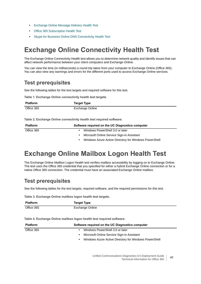- **•** [Exchange Online Message Delivery Health Test](#page-41-0)
- **•** [Office 365 Subscription Health Test](#page-42-0)
- **•** [Skype for Business Online DNS Connectivity Health Test](#page-42-1)

### <span id="page-40-0"></span>**Exchange Online Connectivity Health Test**

The Exchange Online Connectivity Health test allows you to determine network quality and identify issues that can affect network performance between your client computers and Exchange Online.

You can view the time (in milliseconds) a round trip takes from your computer to Exchange Online (Office 365). You can also view any warnings and errors for the different ports used to access Exchange Online services.

### **Test prerequisites**

See the following tables for the test targets and required software for this test.

**Table 1. Exchange Online connectivity health test targets.**

| <b>Platform</b> | <b>Target Type</b> |
|-----------------|--------------------|
| Office 365      | Exchange Online    |

**Table 2. Exchange Online connectivity health test required software.**

| <b>Platform</b> | Software required on the UC Diagnostics computer      |
|-----------------|-------------------------------------------------------|
| Office 365      | Windows PowerShell 3.0 or later                       |
|                 | Microsoft Online Service Sign-in Assistant            |
|                 | Windows Azure Active Directory for Windows PowerShell |

### <span id="page-40-1"></span>**Exchange Online Mailbox Logon Health Test**

The Exchange Online Mailbox Logon Health test verifies mailbox accessibility by logging on to Exchange Online. The test uses the Office 365 credential that you specified for either a hybrid Exchange Online connection or for a native Office 365 connection. The credential must have an associated Exchange Online mailbox.

### **Test prerequisites**

See the following tables for the test targets, required software, and the required permissions for this test.

**Table 3. Exchange Online mailbox logon health test targets.**

| <b>Platform</b> | <b>Target Type</b> |
|-----------------|--------------------|
| Office 365      | Exchange Online    |

**Table 4. Exchange Online mailbox logon health test required software.**

| <b>Platform</b> | Software required on the UC Diagnostics computer      |
|-----------------|-------------------------------------------------------|
| Office 365      | Windows PowerShell 3.0 or later                       |
|                 | Microsoft Online Service Sign-in Assistant            |
|                 | Windows Azure Active Directory for Windows PowerShell |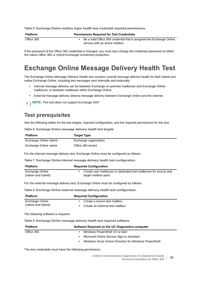**Table 5. Exchange Online mailbox logon health test credential required permissions.**

| <b>Platform</b> | <b>Permissions Required for Test Credentials</b>                                                        |
|-----------------|---------------------------------------------------------------------------------------------------------|
| Office 365      | Be a valid Office 365 credential that is assigned the Exchange Online<br>service with an active mailbox |

If the password of the Office 365 credential is changed, you must also change the credential password on either the native Office 365 or hybrid Exchange connection properties.

### <span id="page-41-0"></span>**Exchange Online Message Delivery Health Test**

The Exchange Online Message Delivery Health test monitors overall message delivery health for both hybrid and native Exchange Online, including test messages sent internally and externally.

- **•** Internal message delivery can be between Exchange on-premise mailboxes and Exchange Online mailboxes, or between mailboxes within Exchange Online.
- **•** External message delivery detects message delivery between Exchange Online and the internet.
- **i** | NOTE: This test does not support Exchange 2007

### **Test prerequisites**

See the following tables for the test targets, required configuration, and the required permissions for this test.

**Table 6. Exchange Online message delivery health test targets**

| <b>Platform</b>        | <b>Target Type</b>    |
|------------------------|-----------------------|
| Exchange Online hybrid | Exchange organization |
| Exchange Online native | Office 365 tenant     |

For the internal message delivery test, Exchange Online must be configured as follows:

**Table 7. Exchange Online internal message delivery health test configuration.**

| <b>Platform</b>     | <b>Required Configuration</b>                                    |
|---------------------|------------------------------------------------------------------|
| Exchange Online     | Create user mailboxes or dedicated test mailboxes for source and |
| (native and hybrid) | target mailbox pairs.                                            |

For the external message delivery test, Exchange Online must be configured as follows:

**Table 8. Exchange Online external message delivery health test configuration.**

| <b>Platform</b>     | <b>Required Configuration</b>    |
|---------------------|----------------------------------|
| Exchange Online     | • Create a source test mailbox.  |
| (native and hybrid) | Create an external test mailbox. |

The following software is required.

**Table 9. Exchange Online message delivery health test required software.**

| <b>Platform</b> | Software Required on the UC Diagnostics computer      |
|-----------------|-------------------------------------------------------|
| Office 365      | • Windows PowerShell 3.0 or later                     |
|                 | • Microsoft Online Service Sign-in Assistant          |
|                 | Windows Azure Active Directory for Windows PowerShell |

The test credentials must have the following permissions.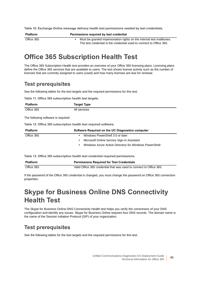**Table 10. Exchange Online message delivery health test permissions needed by test credentials.**

| <b>Platform</b> | Permissions required by test credential                                                                                                      |  |
|-----------------|----------------------------------------------------------------------------------------------------------------------------------------------|--|
| Office 365      | Must be granted impersonation rights on the internal test mailboxes.<br>The test credential is the credential used to connect to Office 365. |  |

### <span id="page-42-0"></span>**Office 365 Subscription Health Test**

The Office 365 Subscription Health test provides an overview of your Office 365 licensing plans. Licensing plans define the Office 365 services that are available to users. The test shows license activity such as the number of licenses that are currently assigned to users (used) and how many licenses are due for renewal.

### **Test prerequisites**

See the following tables for the test targets and the required permissions for this test.

**Table 11. Office 365 subscription health test targets.**

| <b>Platform</b>                                                  | <b>Target Type</b>                                                             |
|------------------------------------------------------------------|--------------------------------------------------------------------------------|
| Office 365                                                       | All services                                                                   |
| The following software is required.                              |                                                                                |
| Table 12. Office 365 subscription health test required software. |                                                                                |
| <b>Platform</b>                                                  | Software Required on the UC Diagnostics computer                               |
| Office 365                                                       | Windows PowerShell 3.0 or later<br>٠                                           |
|                                                                  | Microsoft Online Service Sign-in Assistant                                     |
|                                                                  | Windows Azure Active Directory for Windows PowerShell                          |
|                                                                  | Table 13. Office 365 subscription health test credential required permissions. |

| <b>Platform</b> | <b>Permissions Required for Test Credentials</b>                    |
|-----------------|---------------------------------------------------------------------|
| Office 365      | Valid Office 365 credential that was used to connect to Office 365. |

If the password of the Office 365 credential is changed, you must change the password on Office 365 connection properties.

### <span id="page-42-1"></span>**Skype for Business Online DNS Connectivity Health Test**

The Skype for Business Online DNS Connectivity Health test helps you verify the correctness of your DNS configuration and identify any issues. Skype for Business Online requires four DNS records. The domain name is the name of the Session Initiation Protocol (SIP) of your organization.

### **Test prerequisites**

See the following tables for the test targets and the required permissions for this test.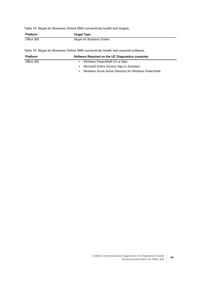**Table 14. Skype for Business Online DNS connectivity health test targets.**

| <b>Platform</b> | <b>Target Type</b>        |
|-----------------|---------------------------|
| Office 365      | Skype for Business Online |

**Table 15. Skype for Business Online DNS connectivity health test required software.**

| <b>Platform</b> | Software Required on the UC Diagnostics computer                   |
|-----------------|--------------------------------------------------------------------|
| Office 365      | Windows PowerShell 3.0 or later<br>$\bullet$                       |
|                 | Microsoft Online Service Sign-in Assistant<br>$\bullet$            |
|                 | Windows Azure Active Directory for Windows PowerShell<br>$\bullet$ |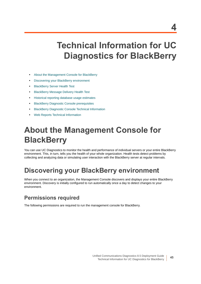# **Technical Information for UC Diagnostics for BlackBerry**

- **•** [About the Management Console for BlackBerry](#page-44-0)
- **•** [Discovering your BlackBerry environment](#page-44-1)
- **•** [BlackBerry Server Health Test](#page-45-0)
- **•** [BlackBerry Message Delivery Health Test](#page-46-0)
- **•** [Historical reporting database usage estimates](#page-47-0)
- **•** [BlackBerry Diagnostic Console prerequisites](#page-48-1)
- **•** [BlackBerry Diagnostic Console Technical Information](#page-48-0)
- **•** [Web Reports Technical Information](#page-49-0)

# <span id="page-44-0"></span>**About the Management Console for BlackBerry**

You can use UC Diagnostics to monitor the health and performance of individual servers or your entire BlackBerry environment. This, in turn, tells you the health of your whole organization. Health tests detect problems by collecting and analyzing data or simulating user interaction with the BlackBerry server at regular intervals.

### <span id="page-44-1"></span>**Discovering your BlackBerry environment**

When you connect to an organization, the Management Console discovers and displays your entire BlackBerry environment. Discovery is initially configured to run automatically once a day to detect changes to your environment.

### **Permissions required**

The following permissions are required to run the management console for BlackBerry.

**4**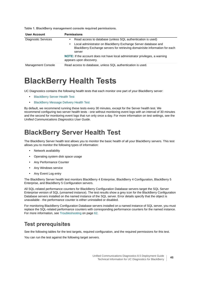| <b>User Account</b>        | <b>Permissions</b>                                                                                                                                           |
|----------------------------|--------------------------------------------------------------------------------------------------------------------------------------------------------------|
| <b>Diagnostic Services</b> | Read access to database (unless SQL authentication is used)                                                                                                  |
|                            | Local administrator on BlackBerry Exchange Server database and<br>٠<br>BlackBerry Exchange servers for retrieving domain/site information for each<br>server |
|                            | NOTE: If the account does not have local administrator privileges, a warning<br>appears upon discovery.                                                      |
| <b>Management Console</b>  | Read access to database, unless SQL authentication is used.                                                                                                  |

**Table 1. BlackBerry management console required permissions.**

## **BlackBerry Health Tests**

UC Diagnostics contains the following health tests that each monitor one part of your BlackBerry server:

- **•** [BlackBerry Server Health Test](#page-45-0)
- **•** [BlackBerry Message Delivery Health Test](#page-46-0)

By default, we recommend running these tests every 30 minutes, except for the Server health test. We recommend configuring two server health tests - one without monitoring event logs with an interval of 30 minutes and the second for monitoring event logs that run only once a day. For more information on test settings, see the *Unified Communications Diagnostics User Guide*.

### <span id="page-45-0"></span>**BlackBerry Server Health Test**

The BlackBerry Server health test allows you to monitor the basic health of all your BlackBerry servers. This test allows you to monitor the following types of information:

- **•** Network availability
- **•** Operating system disk space usage
- **•** Any Performance Counter
- **•** Any Windows service
- **•** Any Event Log entry

The BlackBerry Server health test monitors BlackBerry 4 Enterprise, BlackBerry 4 Configuration, BlackBerry 5 Enterprise, and BlackBerry 5 Configuration servers.

All SQL-related performance counters for BlackBerry Configuration Database servers target the SQL Server Enterprise version of SQL (unnamed instance). The test results show a grey icon for the BlackBerry Configuration Database servers installed on the named instance of the SQL server. Error details specify that the object is unavailable - the performance counter is either uninstalled or disabled.

For monitoring BlackBerry Configuration Database servers installed on a named instance of SQL server, you must replace the SQL-related performance counters with corresponding performance counters for the named instance. For more information, see [Troubleshooting on page 62.](#page-61-0)

### **Test prerequisites**

See the following tables for the test targets, required configuration, and the required permissions for this test.

You can run the test against the following target servers.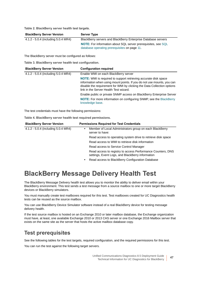**Table 2. BlackBerry server health test targets.**

| <b>BlackBerry Server Version</b>    | <b>Server Type</b>                                                   |
|-------------------------------------|----------------------------------------------------------------------|
| 4.1.2 - 5.0.4 (including 5.0.4 MR4) | BlackBerry servers and BlackBerry Enterprise Database servers        |
|                                     | <b>NOTE:</b> For information about SQL server prerequisites, see SQL |
|                                     | database operating prerequisites on page 11.                         |

The BlackBerry server must be configured as follows:

**Table 3. BlackBerry server health test configuration.**

| <b>BlackBerry Server Version</b>    | <b>Configuration required</b>                                                                                                                                                                                                                                         |
|-------------------------------------|-----------------------------------------------------------------------------------------------------------------------------------------------------------------------------------------------------------------------------------------------------------------------|
| 4.1.2 - 5.0.4 (including 5.0.4 MR4) | Enable WMI on each BlackBerry server                                                                                                                                                                                                                                  |
|                                     | <b>NOTE:</b> WMI is required to support retrieving accurate disk space<br>information when using mount points. If you do not use mounts, you can<br>disable the requirement for WMI by clicking the Data Collection options<br>link in the Server Health Test wizard. |
|                                     | Enable public or private SNMP access on BlackBerry Enterprise Server                                                                                                                                                                                                  |
|                                     | NOTE: For more information on configuring SNMP, see the BlackBerry<br>knowledge base.                                                                                                                                                                                 |

The test credentials must have the following permissions:

**Table 4. BlackBerry server health test required permissions.**

| <b>BlackBerry Server Version</b>    | <b>Permissions Required for Test Credentials</b>                                                                |
|-------------------------------------|-----------------------------------------------------------------------------------------------------------------|
| 4.1.2 - 5.0.4 (including 5.0.4 MR4) | Member of Local Administrators group on each BlackBerry<br>server to have:                                      |
|                                     | Read access to operating system drive to retrieve disk space                                                    |
|                                     | Read access to WMI to retrieve disk information                                                                 |
|                                     | Read access to Service Control Manager                                                                          |
|                                     | Read access to registry to access Performance Counters, DNS<br>settings, Event Logs, and BlackBerry information |
|                                     | Read access to BlackBerry Configuration Database                                                                |

### <span id="page-46-0"></span>**BlackBerry Message Delivery Health Test**

The BlackBerry Message Delivery health test allows you to monitor the ability to deliver email within your BlackBerry environment. This test sends a test message from a source mailbox to one or more target BlackBerry devices or BlackBerry simulators.

You must manually create test mailboxes required for this test. Test mailboxes created for UC Diagnostics health tests can be reused as the source mailbox.

You can use BlackBerry Device Simulator software instead of a real BlackBerry device for testing message delivery health.

If the test source mailbox is hosted on an Exchange 2010 or later mailbox database, the Exchange organization must have, at least, one available Exchange 2010 or 2013 CAS server or one Exchange 2016 Mailbox server that exists on the same site as the server that hosts the active mailbox database copy.

### **Test prerequisites**

See the following tables for the test targets, required configuration, and the required permissions for this test.

You can run the test against the following target servers.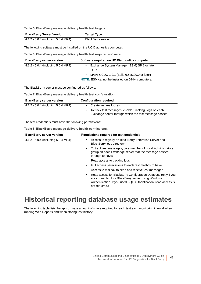**Table 5. BlackBerry message delivery health test targets.**

| <b>BlackBerry Server Version</b>    | <b>Target Type</b>       |
|-------------------------------------|--------------------------|
| 4.1.2 - 5.0.4 (including 5.0.4 MR4) | <b>BlackBerry server</b> |

The following software must be installed on the UC Diagnostics computer.

**Table 6. BlackBerry message delivery health test required software.**

| <b>BlackBerry server version</b>    | Software required on UC Diagnostics computer              |
|-------------------------------------|-----------------------------------------------------------|
| 4.1.2 - 5.0.4 (including 5.0.4 MR4) | Exchange System Manager (ESM) SP 1 or later               |
|                                     | - OR -                                                    |
|                                     | MAPI & CDO 1.2.1 (Build 6.5.8309.0 or later)<br>$\bullet$ |
|                                     | <b>NOTE:</b> ESM cannot be installed on 64-bit computers. |

The BlackBerry server must be configured as follows:

**Table 7. BlackBerry message delivery health test configuration.**

| <b>BlackBerry server version</b>    | <b>Configuration required</b>                                                                                  |  |
|-------------------------------------|----------------------------------------------------------------------------------------------------------------|--|
| 4.1.2 - 5.0.4 (including 5.0.4 MR4) | Create test mailboxes.                                                                                         |  |
|                                     | To track test messages, enable Tracking Logs on each<br>Exchange server through which the test message passes. |  |

The test credentials must have the following permissions:

**Table 8. BlackBerry message delivery health permissions.**

| <b>BlackBerry server version</b>    | Permissions required for test credentials                                                                                                                                                                     |
|-------------------------------------|---------------------------------------------------------------------------------------------------------------------------------------------------------------------------------------------------------------|
| 4.1.2 - 5.0.4 (including 5.0.4 MR4) | Access to registry on BlackBerry Enterprise Server and<br>٠<br><b>BlackBerry logs directory</b>                                                                                                               |
|                                     | To track test messages, be a member of Local Administrators<br>٠<br>group on each Exchange server that the message passes<br>through to have:                                                                 |
|                                     | Read access to tracking logs                                                                                                                                                                                  |
|                                     | Full access permissions to each test mailbox to have:<br>٠                                                                                                                                                    |
|                                     | Access to mailbox to send and receive test messages                                                                                                                                                           |
|                                     | Read access for BlackBerry Configuration Database (only if you<br>٠<br>are connected to a BlackBerry server using Windows<br>Authentication. If you used SQL Authentication, read access is<br>not required.) |
|                                     |                                                                                                                                                                                                               |

### <span id="page-47-0"></span>**Historical reporting database usage estimates**

The following table lists the approximate amount of space required for each test each monitoring interval when running Web Reports and when storing test history: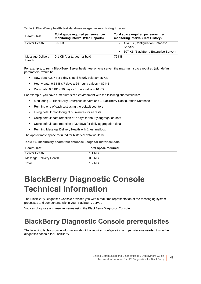**Table 9. BlackBerry health test database usage per monitoring interval.**

| <b>Health Test</b>         | Total space required per server per<br>monitoring interval (Web Reports) | Total space required per server per<br>monitoring interval (Test History)                       |
|----------------------------|--------------------------------------------------------------------------|-------------------------------------------------------------------------------------------------|
| Server Health              | $0.5$ KB                                                                 | 464 KB (Configuration Database<br>Server)<br>307 KB (BlackBerry Enterprise Server)<br>$\bullet$ |
| Message Delivery<br>Health | 0.1 KB (per target mailbox)                                              | 72 KB                                                                                           |

For example, to run a BlackBerry Server health test on one server, the maximum space required (with default parameters) would be:

- **•** Raw data: 0.5 KB x 1 day x 48 bi-hourly values= 25 KB
- **•** Hourly data: 0.5 KB x 7 days x 24 hourly values = 89 KB
- Daily data:  $0.5$  KB  $\times$  30 days  $\times$  1 daily value = 16 KB

For example, you have a medium-sized environment with the following characteristics:

- **•** Monitoring 10 BlackBerry Enterprise servers and 1 BlackBerry Configuration Database
- **•** Running one of each test using the default counters
- **•** Using default monitoring of 30 minutes for all tests
- **•** Using default data retention of 7 days for hourly aggregation data
- **•** Using default data retention of 30 days for daily aggregation data
- **•** Running Message Delivery Health with 1 test mailbox

The approximate space required for historical data would be:

**Table 10. BlackBerry health test database usage for historical data.**

| <b>Health Test</b>      | <b>Total Space required</b> |
|-------------------------|-----------------------------|
| Server Health           | 1.1 MB                      |
| Message Delivery Health | 0.6 <sub>MB</sub>           |
| Total                   | 1.7 MB                      |

# <span id="page-48-0"></span>**BlackBerry Diagnostic Console Technical Information**

The BlackBerry Diagnostic Console provides you with a real-time representation of the messaging system processes and components within your BlackBerry server.

You can diagnose and resolve issues using the BlackBerry Diagnostic Console.

### <span id="page-48-1"></span>**BlackBerry Diagnostic Console prerequisites**

The following tables provide information about the required configuration and permissions needed to run the diagnostic console for BlackBerry.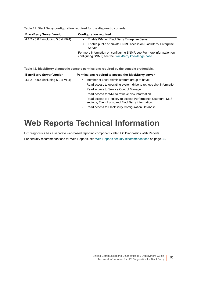| <b>BlackBerry Server Version</b>    | <b>Configuration required</b>                                                                                                 |
|-------------------------------------|-------------------------------------------------------------------------------------------------------------------------------|
| 4.1.2 - 5.0.4 (including 5.0.4 MR4) | Enable WMI on BlackBerry Enterprise Server                                                                                    |
|                                     | Enable public or private SNMP access on BlackBerry Enterprise<br>Server                                                       |
|                                     | For more information on configuring SNMP, see For more information on<br>configuring SNMP, see the BlackBerry knowledge base. |

**Table 11. BlackBerry configuration required for the diagnostic console.**

**Table 12. BlackBerry diagnostic console permissions required by the console credentials.**

| <b>BlackBerry Server Version</b>    | Permissions required to access the BlackBerry server                                                            |
|-------------------------------------|-----------------------------------------------------------------------------------------------------------------|
| 4.1.2 - 5.0.4 (including 5.0.4 MR4) | Member of Local Administrators group to have:<br>$\bullet$                                                      |
|                                     | Read access to operating system drive to retrieve disk information                                              |
|                                     | Read access to Service Control Manager                                                                          |
|                                     | Read access to WMI to retrieve disk information                                                                 |
|                                     | Read access to Registry to access Performance Counters, DNS<br>settings, Event Logs, and BlackBerry information |
|                                     | Read access to BlackBerry Configuration Database<br>$\bullet$                                                   |

# <span id="page-49-0"></span>**Web Reports Technical Information**

UC Diagnostics has a separate web-based reporting component called UC Diagnostics Web Reports.

For security recommendations for Web Reports, see [Web Reports security recommendations on page 38](#page-37-0).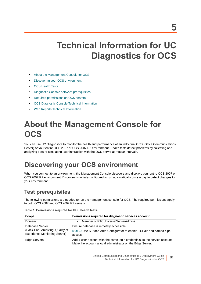# **Technical Information for UC Diagnostics for OCS**

- **•** [About the Management Console for OCS](#page-50-0)
- **•** [Discovering your OCS environment](#page-50-1)
- **•** [OCS Health Tests](#page-51-0)
- **•** [Diagnostic Console software prerequisites](#page-52-1)
- **•** [Required permissions on OCS servers](#page-52-2)
- **•** [OCS Diagnostic Console Technical Information](#page-52-0)
- **•** [Web Reports Technical Information](#page-53-0)

# <span id="page-50-0"></span>**About the Management Console for OCS**

You can use UC Diagnostics to monitor the health and performance of an individual OCS (Office Communications Server) or your entire OCS 2007 or OCS 2007 R2 environment. Health tests detect problems by collecting and analyzing data or simulating user interaction with the OCS server at regular intervals.

## <span id="page-50-1"></span>**Discovering your OCS environment**

When you connect to an environment, the Management Console discovers and displays your entire OCS 2007 or OCS 2007 R2 environment. Discovery is initially configured to run automatically once a day to detect changes to your environment.

### **Test prerequisites**

The following permissions are needed to run the management console for OCS. The required permissions apply to both OCS 2007 and OCS 2007 R2 servers.

**Table 1. Permissions required for OCS health tests.**

| Scope                                                                                       | Permissions required for diagnostic services account                                                                                     |
|---------------------------------------------------------------------------------------------|------------------------------------------------------------------------------------------------------------------------------------------|
| Domain                                                                                      | Member of RTCUniversalServerAdmins<br>$\bullet$                                                                                          |
| Database Server<br>(Back-End, Archiving, Quality of<br><b>Experience Monitoring Server)</b> | Ensure database is remotely accessible<br>NOTE: Use Surface Area Configurator to enable TCP/IP and named pipe<br>access.                 |
| <b>Edge Servers</b>                                                                         | Add a user account with the same login credentials as the service account.<br>Make the account a local administrator on the Edge Server. |

Unified Communications Diagnostics 8.5 Deployment Guide Technical Information for UC Diagnostics for OCS **51**

**5**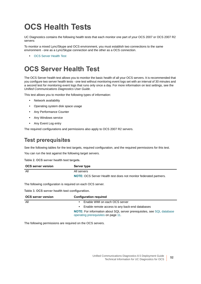# <span id="page-51-0"></span>**OCS Health Tests**

UC Diagnostics contains the following health tests that each monitor one part of your OCS 2007 or OCS 2007 R2 servers:

To monitor a mixed Lync/Skype and OCS environment, you must establish two connections to the same environment - one as a Lync/Skype connection and the other as a OCS connection.

**•** [OCS Server Health Test](#page-51-1)

## <span id="page-51-1"></span>**OCS Server Health Test**

The OCS Server health test allows you to monitor the basic health of all your OCS servers. It is recommended that you configure two server health tests - one test without monitoring event logs set with an interval of 30 minutes and a second test for monitoring event logs that runs only once a day. For more information on test settings, see the *Unified Communications Diagnostics User Guide*.

This test allows you to monitor the following types of information:

- **•** Network availability
- **•** Operating system disk space usage
- **•** Any Performance Counter
- **•** Any Windows service
- **•** Any Event Log entry

The required configurations and permissions also apply to OCS 2007 R2 servers.

### **Test prerequisites**

See the following tables for the test targets, required configuration, and the required permissions for this test.

You can run the test against the following target servers.

**Table 2. OCS server health test targets.**

| <b>OCS server version</b> | Server type                                                       |
|---------------------------|-------------------------------------------------------------------|
| All                       | All servers                                                       |
|                           | NOTE: OCS Server Health test does not monitor federated partners. |

The following configuration is required on each OCS server.

**Table 3. OCS server health test configuration.**

| <b>OCS server version</b> | <b>Configuration required</b>                                                                                        |
|---------------------------|----------------------------------------------------------------------------------------------------------------------|
| All                       | Enable WMI on each OCS server                                                                                        |
|                           | Enable remote access to any back-end databases                                                                       |
|                           | <b>NOTE:</b> For information about SQL server prerequisites, see SQL database<br>operating prerequisites on page 11. |

The following permissions are required on the OCS servers.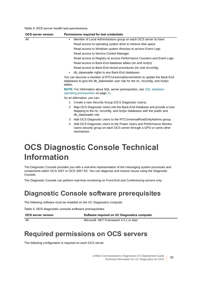**Table 4. OCS server health test permissions.**

| <b>OCS server version</b> | Permissions required for test credentials                                                                                                                                                 |
|---------------------------|-------------------------------------------------------------------------------------------------------------------------------------------------------------------------------------------|
| All                       | Member of Local Administrators group on each OCS server to have:<br>$\bullet$                                                                                                             |
|                           | Read access to operating system drive to retrieve disk space                                                                                                                              |
|                           | Read access to Windows system directory to access Event Logs                                                                                                                              |
|                           | Read access to Service Control Manager                                                                                                                                                    |
|                           | Read access to Registry to access Performance Counters and Event Logs                                                                                                                     |
|                           | Read access to Back-End database tables (rtc and rtcdyn)                                                                                                                                  |
|                           | Read access to Back-End stored procedures (rtc and rtcconfig)                                                                                                                             |
|                           | db datareader rights to any Back-End databases<br>$\bullet$                                                                                                                               |
|                           | You can become a member of RTCUniversalServerAdmin to update the Back-End<br>databases to give the db_datareader user role for the rtc, rtcconfig, and rtcdyn<br>tables.                  |
|                           | <b>NOTE:</b> For information about SQL server prerequisites, see SQL database<br>operating prerequisites on page 11.                                                                      |
|                           | As an alternative, you can:                                                                                                                                                               |
|                           | Create a new Security Group (OCS Diagnostic Users).<br>1                                                                                                                                  |
|                           | Map OCS Diagnostic Users into the Back-End Database and provide a User<br>$\mathcal{P}$<br>Mapping to the rtc, rtcconfig, and rtcdyn databases with the public and<br>db datareader role. |
|                           | Add OCS Diagnostic Users to the RTCUniversalReadOnlyAdmins group.<br>3                                                                                                                    |
|                           | Add OCS Diagnostic Users to the Power Users and Performance Monitor<br>4<br>Users security group on each OCS server through a GPO or some other<br>mechanism.                             |
|                           |                                                                                                                                                                                           |

## <span id="page-52-0"></span>**OCS Diagnostic Console Technical Information**

The Diagnostic Console provides you with a real-time representation of the messaging system processes and components within OCS 2007 or OCS 2007 R2. You can diagnose and resolve issues using the Diagnostic Console.

The Diagnostic Console can perform real-time monitoring on Front-End and Conferencing servers only.

### <span id="page-52-1"></span>**Diagnostic Console software prerequisites**

The following software must be installed on the UC Diagnostics computer.

**Table 5. OCS diagnostic console software prerequisites.**

**OCS server version Software required on UC Diagnostics computer** All Microsoft .NET Framework 4.5.1 or later

### <span id="page-52-2"></span>**Required permissions on OCS servers**

The following configuration is required on each OCS server.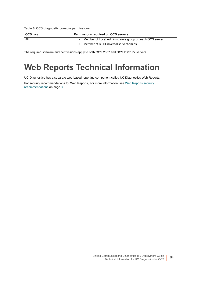**Table 6. OCS diagnostic console permissions.**

| OCS role | <b>Permissions required on OCS servers</b>              |
|----------|---------------------------------------------------------|
| All      | Member of Local Administrators group on each OCS server |
|          | Member of RTCUniversalServerAdmins                      |

The required software and permissions apply to both OCS 2007 and OCS 2007 R2 servers.

## <span id="page-53-0"></span>**Web Reports Technical Information**

UC Diagnostics has a separate web-based reporting component called UC Diagnostics Web Reports.

For security recommendations for Web Reports, [For more information, see Web Reports security](#page-37-0)  [recommendations on page 38.](#page-37-0)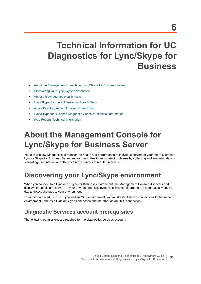# **Technical Information for UC Diagnostics for Lync/Skype for Business**

- **•** [About the Management Console for Lync/Skype for Business Server](#page-54-1)
- **•** [Discovering your Lync/Skype environment](#page-54-0)
- **•** [About the Lync/Skype Health Tests](#page-55-0)
- **•** [Lync/Skype Synthetic Transaction Health Tests](#page-56-0)
- **•** [Active Directory Account Lockout Health Test](#page-59-1)
- **•** [Lync/Skype for Business Diagnostic Console Technical Information](#page-59-0)
- **•** [Web Reports Technical Information](#page-60-0)

# <span id="page-54-1"></span>**About the Management Console for Lync/Skype for Business Server**

You can use UC Diagnostics to monitor the health and performance of individual servers or your entire Microsoft Lync or Skype for Business Server environment. Health tests detect problems by collecting and analyzing data or simulating user interaction with Lync/Skype servers at regular intervals.

## <span id="page-54-0"></span>**Discovering your Lync/Skype environment**

When you connect to a Lync or a Skype for Business environment, the Management Console discovers and displays the pools and servers in your environment. Discovery is initially configured to run automatically once a day to detect changes to your environment.

To monitor a mixed Lync or Skype and an OCS environment, you must establish two connections to the same environment - one as a Lync or Skype connection and the other as an OCS connection.

### **Diagnostic Services account prerequisites**

The following permissions are required for the diagnostics services account.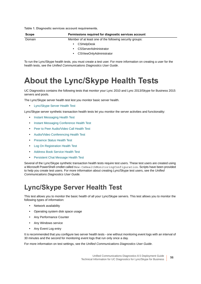**Table 1. Diagnostic services account requirements.**

| <b>Scope</b> | Permissions required for diagnostic services account     |  |
|--------------|----------------------------------------------------------|--|
| Domain       | Member of at least one of the following security groups: |  |
|              | <b>CSHelpDesk</b><br>٠                                   |  |
|              | <b>CSServerAdministrator</b><br>٠                        |  |
|              | <b>CSViewOnlyAdministrator</b><br>٠                      |  |

To run the Lync/Skype health tests, you must create a test user. For more information on creating a user for the health tests, see the *Unified Communications Diagnostics User Guide*.

## <span id="page-55-0"></span>**About the Lync/Skype Health Tests**

UC Diagnostics contains the following tests that monitor your Lync 2010 and Lync 2013/Skype for Business 2015 servers and pools.

The Lync/Skype server health test lest you monitor basic server health.

**•** [Lync/Skype Server Health Test](#page-55-1)

Lync/Skype server synthetic transaction health tests let you monitor the server activities and functionality:

- **•** [Instant Messaging Health Test](#page-57-0)
- **•** [Instant Messaging Conference Health Test](#page-57-1)
- **•** [Peer to Peer Audio/Video Call Health Test](#page-57-2)
- **•** [Audio/Video Conferencing Health Test](#page-58-0)
- **•** [Presence Status Health Test](#page-58-1)
- **•** [Log On Registration Health Test](#page-58-2)
- **•** [Address Book Service Health Test](#page-58-3)
- **•** [Persistent Chat Message Health Test](#page-58-4)

Several of the Lync/Skype synthetic transaction health tests require test users. These test users are created using a Microsoft PowerShell cmdlet called New-CsHealthMonitoringConfiguration. Scripts have been provided to help you create test users. For more information about creating Lync/Skype test users, see the *Unified Communications Diagnostics User Guide.*

### <span id="page-55-1"></span>**Lync/Skype Server Health Test**

This test allows you to monitor the basic health of all your Lync/Skype servers. This test allows you to monitor the following types of information:

- **•** Network availability
- **•** Operating system disk space usage
- **•** Any Performance Counter
- **•** Any Windows service
- **•** Any Event Log entry

It is recommended that you configure two server health tests - one without monitoring event logs with an interval of 30 minutes and the second for monitoring event logs that run only once a day.

For more information on test settings, see the *Unified Communications Diagnostics User Guide*.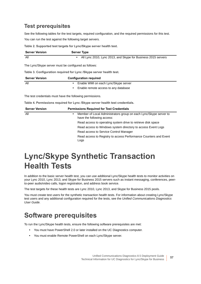### **Test prerequisites**

See the following tables for the test targets, required configuration, and the required permissions for this test. You can run the test against the following target servers.

**Table 2. Supported test targets for Lync/Skype server health test.**

| <b>Server Version</b> | <b>Server Type</b>                                            |  |
|-----------------------|---------------------------------------------------------------|--|
| All                   | All Lync 2010, Lync 2013, and Skype for Business 2015 servers |  |
|                       |                                                               |  |

The Lync/Skype server must be configured as follows:

**Table 3. Configuration required for Lync /Skype server health test.**

| <b>Server Version</b> | <b>Configuration required</b>          |  |
|-----------------------|----------------------------------------|--|
| All                   | • Enable WMI on each Lync/Skype server |  |
|                       | Enable remote access to any database   |  |

The test credentials must have the following permissions.

**Table 4. Permissions required for Lync /Skype server health test credentials.**

| <b>Server Version</b> | <b>Permissions Required for Test Credentials</b>                                                     |  |  |
|-----------------------|------------------------------------------------------------------------------------------------------|--|--|
| All                   | Member of Local Administrators group on each Lync/Skype server to<br>٠<br>have the following access: |  |  |
|                       | Read access to operating system drive to retrieve disk space                                         |  |  |
|                       | Read access to Windows system directory to access Event Logs                                         |  |  |
|                       | Read access to Service Control Manager                                                               |  |  |
|                       | Read access to Registry to access Performance Counters and Event<br>Logs                             |  |  |

## <span id="page-56-0"></span>**Lync/Skype Synthetic Transaction Health Tests**

In addition to the basic server health test, you can use additional Lync/Skype health tests to monitor activities on your Lync 2010, Lync 2013, and Skype for Business 2015 servers such as instant messaging, conferences, peerto-peer audio/video calls, logon registration, and address book service.

The test targets for these health tests are Lync 2010, Lync 2013, and Skype for Business 2015 pools.

You must create test users for the synthetic transaction health tests. For information about creating Lync/Skype test users and any additional configuration required for the tests, see the *Unified Communications Diagnostics User Guide.*

### **Software prerequisites**

To run the Lync/Skype health tests, ensure the following software prerequisites are met:

- **•** You must have PowerShell 2.0 or later installed on the UC Diagnostics computer.
- **•** You must enable Remote PowerShell on each Lync/Skype server.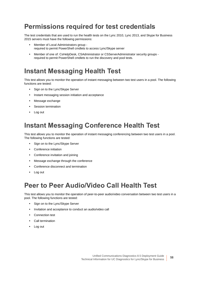### **Permissions required for test credentials**

The test credentials that are used to run the health tests on the Lync 2010, Lync 2013, and Skype for Business 2015 servers must have the following permissions:

- **•** Member of Local Administrators group required to permit PowerShell cmdlets to access Lync/Skype server
- **•** Member of one of: CsHelpDesk, CSAdministrator or CSServerAdministrator security groups required to permit PowerShell cmdlets to run the discovery and pool tests.

### <span id="page-57-0"></span>**Instant Messaging Health Test**

This test allows you to monitor the operation of instant messaging between two test users in a pool. The following functions are tested:

- **•** Sign on to the Lync/Skype Server
- **•** Instant messaging session initiation and acceptance
- **•** Message exchange
- **•** Session termination
- **•** Log out

### <span id="page-57-1"></span>**Instant Messaging Conference Health Test**

This test allows you to monitor the operation of instant messaging conferencing between two test users in a pool. The following functions are tested:

- **•** Sign on to the Lync/Skype Server
- **•** Conference initiation
- **•** Conference invitation and joining
- **•** Message exchange through the conference
- **•** Conference disconnect and termination
- **•** Log out

### <span id="page-57-2"></span>**Peer to Peer Audio/Video Call Health Test**

This test allows you to monitor the operation of peer-to-peer audio/video conversation between two test users in a pool. The following functions are tested:

- **•** Sign on to the Lync/Skype Server
- **•** Invitation and acceptance to conduct an audio/video call
- **•** Connection test
- **•** Call termination
- **•** Log out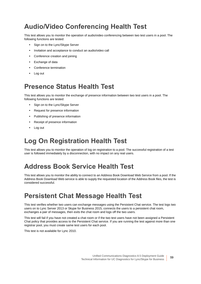## <span id="page-58-0"></span>**Audio/Video Conferencing Health Test**

This test allows you to monitor the operation of audio/video conferencing between two test users in a pool. The following functions are tested:

- **•** Sign on to the Lync/Skype Server
- **•** Invitation and acceptance to conduct an audio/video call
- **•** Conference creation and joining
- **•** Exchange of data
- **•** Conference termination
- **•** Log out

### <span id="page-58-1"></span>**Presence Status Health Test**

This test allows you to monitor the exchange of presence information between two test users in a pool. The following functions are tested:

- **•** Sign on to the Lync/Skype Server
- **•** Request for presence information
- **•** Publishing of presence information
- **•** Receipt of presence information
- **•** Log out

## <span id="page-58-2"></span>**Log On Registration Health Test**

This test allows you to monitor the operation of log on registration to a pool. The successful registration of a test user is followed immediately by a disconnection, with no impact on any real users.

## <span id="page-58-3"></span>**Address Book Service Health Test**

This test allows you to monitor the ability to connect to an Address Book Download Web Service from a pool. If the Address Book Download Web service is able to supply the requested location of the Address Book files, the test is considered successful.

## <span id="page-58-4"></span>**Persistent Chat Message Health Test**

This test verifies whether two users can exchange messages using the Persistent Chat service. The test logs two users on to Lync Server 2013 or Skype for Business 2015, connects the users to a persistent chat room, exchanges a pair of messages, then exits the chat room and logs off the two users.

This test will fail if you have not created a chat room or if the two test users have not been assigned a Persistent Chat policy that provides access to the Persistent Chat service. If you are running the test against more than one registrar pool, you must create same test users for each pool.

This test is not available for Lync 2010.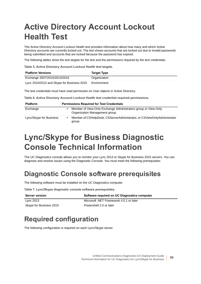# <span id="page-59-1"></span>**Active Directory Account Lockout Health Test**

The Active Directory Account Lockout Health test provides information about how many and which Active Directory accounts are currently locked out. The test shows accounts that are locked out due to invalid passwords being submitted and accounts that are locked because the password has expired.

The following tables show the test targets for the test and the permissions required by the test credentials.

**Table 5. Active Directory Account Lockout Health test targets.**

| <b>Platform Versions</b>                   | <b>Target Type</b> |
|--------------------------------------------|--------------------|
| Exchange 2007/2010/2013/2016               | Organization       |
| Lync 2010/2013 and Skype for Business 2015 | Environment        |

The test credentials must have read permission on User objects in Active Directory.

**Table 6. Active Directory Account Lockout Health test credential required permissions.**

| <b>Platform</b>         | <b>Permissions Required for Test Credentials</b> |                                                                                                  |
|-------------------------|--------------------------------------------------|--------------------------------------------------------------------------------------------------|
| Exchange                |                                                  | Member of View-Only Exchange Administrators group or View-Only<br>Organization Management group. |
| Lync/Skype for Business |                                                  | Member of CSHelpDesk, CSServerAdministrator, or CSViewOnlyAdministrator<br>group                 |

## <span id="page-59-0"></span>**Lync/Skype for Business Diagnostic Console Technical Information**

The UC Diagnostics console allows you to monitor your Lync 2013 or Skype for Business 2015 servers. You can diagnose and resolve issues using the Diagnostic Console. You must meet the following prerequisites

## **Diagnostic Console software prerequisites**

The following software must be installed on the UC Diagnostics computer.

**Table 7. Lync/Skype diagnostic console software prerequisites.**

| <b>Server version</b>   | Software required on UC Diagnostics computer |
|-------------------------|----------------------------------------------|
| Lvnc 2013               | Microsoft .NET Framework 4.5.1 or later      |
| Skype for Business 2015 | Powershell 2.0 or later                      |

## **Required configuration**

The following configuration is required on each Lync/Skype server.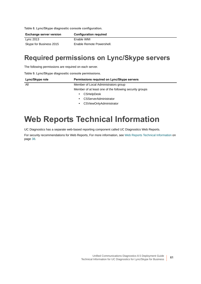**Table 8. Lync/Skype diagnostic console configuration.**

Î.

| Exchange server version | <b>Configuration required</b> |
|-------------------------|-------------------------------|
| Lync 2013               | Enable WMI                    |
| Skype for Business 2015 | Enable Remote Powershell.     |

### **Required permissions on Lync/Skype servers**

The following permissions are required on each server.

**Table 9. Lync/Skype diagnostic console permissions.**

| Lync/Skype role | Permissions required on Lync/Skype servers              |  |
|-----------------|---------------------------------------------------------|--|
| All             | Member of Local Administrators group                    |  |
|                 | Member of at least one of the following security groups |  |
|                 | <b>CSHelpDesk</b><br>٠                                  |  |
|                 | CSServerAdministrator<br>٠                              |  |
|                 | CSViewOnlyAdministrator<br>٠                            |  |

## <span id="page-60-0"></span>**Web Reports Technical Information**

UC Diagnostics has a separate web-based reporting component called UC Diagnostics Web Reports.

For security recommendations for Web Reports, [For more information, see Web Reports Technical Information on](#page-37-1)  [page 38.](#page-37-1)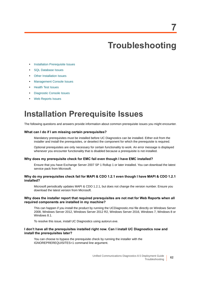# <span id="page-61-0"></span>**Troubleshooting**

- **[Installation Prerequisite Issues](#page-61-1)**
- **•** [SQL Database Issues](#page-62-0)
- **•** [Other Installation Issues](#page-62-1)
- **•** [Management Console Issues](#page-63-0)
- **•** [Health Test Issues](#page-65-0)
- **•** [Diagnostic Console Issues](#page-69-0)
- **•** [Web Reports Issues](#page-70-0)

## <span id="page-61-1"></span>**Installation Prerequisite Issues**

The following questions and answers provide information about common prerequisite issues you might encounter.

#### **What can I do if I am missing certain prerequisites?**

Mandatory prerequisites must be installed before UC Diagnostics can be installed. Either exit from the installer and install the prerequisites, or deselect the component for which the prerequisite is required.

Optional prerequisites are only necessary for certain functionality to work. An error message is displayed whenever you encounter functionality that is disabled because a prerequisite is not installed.

#### **Why does my prerequisite check for EMC fail even though I have EMC installed?**

Ensure that you have Exchange Server 2007 SP 1 Rollup 1 or later installed. You can download the latest service pack from Microsoft.

#### **Why do my prerequisites check fail for MAPI & CDO 1.2.1 even though I have MAPI & CDO 1.2.1 installed?**

Microsoft periodically updates MAPI & CDO 1.2.1, but does not change the version number. Ensure you download the latest version from Microsoft.

#### **Why does the installer report that required prerequisites are not met for Web Reports when all required components are installed in my machine?**

This can happen if you install the product by running the UCDiagnostic.msi file directly on Windows Server 2008, Windows Server 2012, Windows Server 2012 R2, Windows Server 2016, Windows 7, Windows 8 or Windows 8.1.

To resolve this issue, install UC Diagnostics using autorun.exe.

#### **I don't have all the prerequisites installed right now. Can I install UC Diagnostics now and install the prerequisites later?**

You can choose to bypass the prerequisite check by running the installer with the IGNOREPREREQUISITES=1 command line argument.

**62**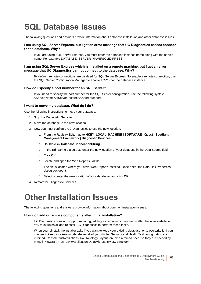# <span id="page-62-0"></span>**SQL Database Issues**

The following questions and answers provide information about database installation and other database issues.

#### **I am using SQL Server Express, but I get an error message that UC Diagnostics cannot connect to the database. Why?**

If you are using SQL Server Express, you must enter the database instance name along with the server name. For example DATABASE\_SERVER\_NAME\SQLEXPRESS.

#### **I am using SQL Server Express which is installed on a remote machine, but I get an error message that UC Diagnostics cannot connect to the database. Why?**

By default, remote connections are disabled for SQL Server Express. To enable a remote connection, use the SQL Server Configuration Manager to enable TCP/IP for the database instance.

#### **How do I specify a port number for an SQL Server?**

If you need to specify the port number for the SQL Server configuration, use the following syntax: <Server Name>/<Server Instance>,<port number>

#### **I want to move my database. What do I do?**

Use the following instructions to move your database.

- 1 Stop the Diagnostic Services.
- 2 Move the database to the new location.
- 3 Now you must configure UC Diagnostics to use the new location.
	- a From the Registry Editor, go to **HKEY\_LOCAL\_MACHINE | SOFTWARE | Quest | Spotlight Management Framework | Diagnostic Services**.
	- b Double-click **DatabaseConnectionString**.
	- c In the Edit String dialog box, enter the new location of your database in the Data Source field.
	- d Click **OK**.
	- e Locate and open the Web Reports.udl file.

The file is located where you have Web Reports installed. Once open, the Data Link Properties dialog box opens.

- f Select or enter the new location of your database, and click **OK**.
- 4 Restart the Diagnostic Services.

## <span id="page-62-1"></span>**Other Installation Issues**

The following questions and answers provide information about common installation issues.

#### **How do I add or remove components after initial installation?**

UC Diagnostics does not support repairing, adding, or removing components after the initial installation. You must uninstall and reinstall UC Diagnostics to perform these tasks.

When you reinstall, the installer asks if you want to keep your existing database, or to overwrite it. If you choose to keep your existing database, all of your Global Settings and Health Test configuration are retained. Console customizations, like Topology Layout, are also retained because they are cached by MMC in %USERPROFILE%\Application Data\Microsoft\MMC directory.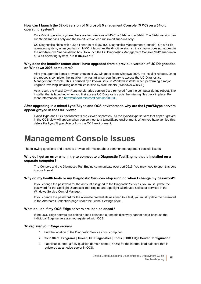#### **How can I launch the 32-bit version of Microsoft Management Console (MMC) on a 64-bit operating system?**

On a 64-bit operating system, there are two versions of MMC, a 32-bit and a 64-bit. The 32-bit version can run 32-bit snap-ins only and the 64-bit version can run 64-bit snap-ins only.

UC Diagnostics ships with a 32-bit snap-in of MMC (UC Diagnostics Management Console). On a 64-bit operating system, when you launch MMC, it launches the 64-bit version, so the snap-in does not appear in the Add/Remove Snap-in dialog box. To launch the UC Diagnostics Management Console MMC snap-in on a 64-bit operating system, run **MMC.exe /32**.

#### **Why does the installer restart after I have upgraded from a previous version of UC Diagnostics on Windows 2008 computers?**

After you upgrade from a previous version of UC Diagnostics on Windows 2008, the installer reboots. Once the reboot is complete, the installer may restart when you first try to access the UC Diagnostics Management Console. This is caused by a known issue in Windows installer when performing a major upgrade involving installing assemblies in side-by-side folders (\Windows\WinSxS).

As a result, the Visual C++ Runtime Libraries version 9 are removed from the computer during reboot. The installer that is launched when you first access UC Diagnostics puts the missing files back in place. For more information, see<http://support.microsoft.com/kb/905238>.

#### **After upgrading in a mixed Lync/Skype and OCS environment, why are the Lync/Skype servers appear greyed in the OCS view?**

Lync/Skype and OCS environments are viewed separately. All the Lync/Skype servers that appear greyed in the OCS view will appear when you connect to a Lync/Skype environment. When you have verified this, delete the Lync/Skype objects from the OCS environment.

## <span id="page-63-0"></span>**Management Console Issues**

The following questions and answers provide information about common management console issues.

#### **Why do I get an error when I try to connect to a Diagnostic Test Engine that is installed on a separate computer?**

The Console and the Diagnostic Test Engine communicate over port 9615. You may need to open this port in your firewall.

#### **Why do my health tests or my Diagnostic Services stop running when I change my password?**

If you change the password for the account assigned to the Diagnostic Services, you must update the password for the Spotlight Diagnostic Test Engine and Spotlight Distributed Collector services in the Windows Service Control Manager.

If you change the password for the alternate credentials assigned to a test, you must update the password in the Alternate Credentials page under the Global Settings node.

#### **What do I do if my OCS Edge servers are load balanced?**

If the OCS Edge servers are behind a load balancer, automatic discovery cannot occur because the individual Edge servers are not registered with OCS.

#### *To register your Edge servers*

- 1 Find the location of the Diagnostic Services host computer.
- 2 Go to **Start | Programs | Quest | UC Diagnostics | Tools | OCS Edge Server Configuration**.
- 3 If applicable, enter a fully qualified domain name (FQDN) for the internal load balancer that is registered as an edge server in OCS.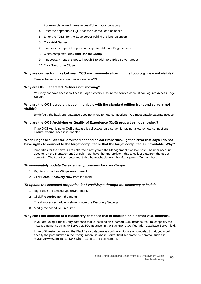For example, enter InternalAccessEdge.mycompany.corp.

- 4 Enter the appropriate FQDN for the external load balancer.
- 5 Enter the FQDN for the Edge server behind the load balancers.
- 6 Click **Add Server**.
- 7 If necessary, repeat the previous steps to add more Edge servers.
- 8 When completed, click **Add/Update Group**.
- 9 If necessary, repeat steps 1 through 8 to add more Edge server groups,
- 10 Click **Save**, then **Close**.

#### **Why are connector links between OCS environments shown in the topology view not visible?**

Ensure the service account has access to WMI.

#### **Why are OCS Federated Partners not showing?**

You may not have access to Access Edge Servers. Ensure the service account can log into Access Edge Servers.

#### **Why are the OCS servers that communicate with the standard edition front-end servers not visible?**

By default, the back-end database does not allow remote connections. You must enable external access.

#### **Why are the OCS Archiving or Quality of Experience (QoE) properties not showing?**

If the OCS Archiving or QoE database is collocated on a server, it may not allow remote connections. Ensure external access is enabled.

#### **When I right-click an OCS environment and select Properties, I get an error that says I do not have rights to connect to the target computer or that the target computer is unavailable. Why?**

Properties for the servers are collected directly from the Management Console host. The user account used to run the Management Console must have the appropriate rights to collect data from the target computer. The target computer must also be reachable from the Management Console host.

#### *To immediately update the extended properties for Lync/Skype*

- 1 Right-click the Lync/Skype environment.
- 2 Click **Force Discovery Now** from the menu.

#### *To update the extended properties for Lync/Skype through the discovery schedule*

- 1 Right-click the Lync/Skype environment.
- 2 Click **Properties** from the menu.

The discovery schedule is shown under the Discovery Settings.

3 Modify the schedule if required.

#### **Why can I not connect to a BlackBerry database that is installed on a named SQL instance?**

If you are using a BlackBerry database that is installed on a named SQL instance, you must specify the instance name, such as MyServer/MySQLInstance, in the BlackBerry Configuration Database Server field.

If the SQL instance hosting the BlackBerry database is configured to use a non-default port, you would specify the port number in the Configuration Database Server field separated by comma, such as: MyServer/MySqlInstance,1345 where 1345 is the port number.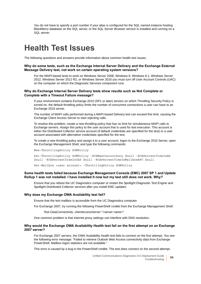You do not have to specify a port number if your alias is configured for the SQL named instance hosting BlackBerry database on the SQL server, or the SQL Server Browser service is installed and running on a SQL server.

## <span id="page-65-0"></span>**Health Test Issues**

The following questions and answers provide information about common health test issues.

#### **Why do some tests, such as the Exchange Internal Server Delivery and the Exchange External Message Delivery test, not work on certain operating system versions?**

For the MAPI-based tests to work on Windows Server 2008, Windows 8, Windows 8.1, Windows Server 2012, Windows Server 2012 R2, or Windows Server 2016 you must turn off User Account Controls (UAC) on the computer on which the Diagnostic Services component runs.

#### **Why do Exchange Internal Server Delivery tests show results such as Not Complete or Complete with a Timeout Failure message?**

If your environment contains Exchange 2010 (SP1 or later) servers on which Throttling Security Policy is turned on, the default throttling policy limits the number of concurrent connections a user can have to an Exchange 2010 server.

The number of MAPI calls performed during a MAPI-based Delivery test can exceed this limit, causing the Exchange Client Access Server to start rejecting calls.

To resolve this problem, create a new throttling policy that has no limit for simultaneous MAPI calls to Exchange servers. Assign this policy to the user account that is used for test execution. This account is either the Distributed Collector service account (if default credentials are specified for the test) or a user account associated with alternative credentials specified for the test.

To create a new throttling policy and assign it to a user account, logon to the Exchange 2010 Server, open the Exchange Management Shell, and type the following commands:

New-ThrottlingPolicy SOMPolicy

Set-ThrottlingPolicy SOMPolicy -RCAMaxConcurrency \$null -RCAPercentTimeInAD \$null -RCAPercentTimeInCAS \$null -RCAPercentTimeInMailboxRPC \$null

Set-Mailbox <user account> -ThrottlingPolicy SOMPolicy

#### **Some health tests failed because Exchange Management Console (EMC) 2007 SP 1 and Update Rollup 1 was not installed. I have installed it now but my test still does not work. Why?**

Ensure that you reboot the UC Diagnostics computer or restart the Spotlight Diagnostic Test Engine and Spotlight Distributed Collector services after you install EMC updates.

#### **Why does my Exchange OWA Availability test fail?**

Ensure that the test mailbox is accessible from the UC Diagnostics computer.

For Exchange 2007, try running the following PowerShell cmdlet from the Exchange Management Shell:

Test-OwaConnectivity -clientAccessServer "<server name>"

One common problem is that Internet proxy settings can interfere with DNS resolution.

#### **Why would the Exchange OWA Availability Health test fail on the first attempt on an Exchange 2007 server?**

For Exchange 2007 servers, the OWA Availability health test fails to connect on the first attempt. You see the following error message: "Failed to retrieve Outlook Web Access connectivity data from Exchange PowerShell. Mailbox logon statistics are not available."

This error is caused by a bug in the PowerShell cmdlet. The test does connect on the second attempt.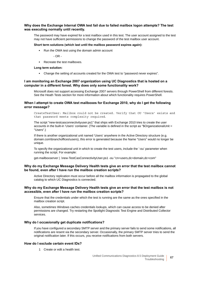#### **Why does the Exchange Internal OWA test fail due to failed mailbox logon attempts? The test was executing normally until recently.**

The password may have expired for a test mailbox used in this test. The user account assigned to the test may not have sufficient permissions to change the password of the test mailbox user account.

#### **Short term solutions (which last until the mailbox password expires again):**

**▪** Run the OWA test using the domain admin account

 $-$  OR  $-$ 

**▪** Recreate the test mailboxes.

#### **Long term solution:**

**▪** Change the setting of accounts created for the OWA test to "password never expires".

#### **I am monitoring an Exchange 2007 organization using UC Diagnostics that is hosted on a computer in a different forest. Why does only some functionality work?**

Microsoft does not support accessing Exchange 2007 servers through PowerShell from different forests. See the Heath Tests section for more information about which functionality requires PowerShell.

#### **When I attempt to create OWA test mailboxes for Exchange 2010, why do I get the following error message?**

CreateTestUser: Mailbox could not be created. Verify that OU 'Users' exists and that password meets complexity required.

The script "new-testcasconnectivityuser.ps1" that ships with Exchange 2010 tries to create the user accounts in the built-in 'Users' container. (The variable is defined in the script as "\$OrganizationalUnit = "Users".)

If there is another organizational unit named 'Users' anywhere in the Active Directory structure (e.g. domain.com\branchoffices\users), this error is generated because the Name "Users" would no longer be unique.

To specify the organizational unit in which to create the test users, include the '-ou' parameter when running the script. For example:

get-mailboxserver | .\new-TestCasConnectivityUser.ps1 -ou "cn=users,dc=domain,dc=com"

#### **Why do my Exchange Message Delivery Health tests give an error that the test mailbox cannot be found, even after I have run the mailbox creation scripts?**

Active Directory replication must occur before all the mailbox information is propagated to the global catalog to which UC Diagnostics is connected.

#### **Why do my Exchange Message Delivery Health tests give an error that the test mailbox is not accessible, even after I have run the mailbox creation scripts?**

Ensure that the credentials under which the test is running are the same as the ones specified in the mailbox creation script.

Also, sometimes Windows caches credentials lookups, which can cause access to be denied after permissions are changed. Try restarting the Spotlight Diagnostic Test Engine and Distributed Collector services.

#### **Why do I occasionally get duplicate notifications?**

If you have configured a secondary SMTP server and the primary server fails to send some notifications, all notifications are resent via the secondary server. Occasionally, the primary SMTP server tries to send the original notification later. If this occurs, you receive notifications from both servers.

#### **How do I exclude certain event IDs?**

1 Create or edit a health test.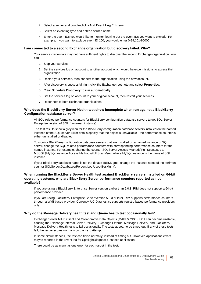- 2 Select a server and double-click **<Add Event Log Entries>**.
- 3 Select an event log type and enter a source name.
- 4 Enter the event IDs you would like to monitor, leaving out the event IDs you want to exclude. For example, if you want to exclude event ID 100, you would enter 0-99,101-90000.

#### **I am connected to a second Exchange organization but discovery failed. Why?**

Your service credentials may not have sufficient rights to discover the second Exchange organization. You can:

- 1 Stop your services.
- 2 Set the services log on account to another account which would have permissions to access that organization.
- 3 Restart your services, then connect to the organization using the new account.
- 4 After discovery is successful, right-click the Exchange root note and select **Properties**.
- 5 Clear **Schedule Discovery to run automatically**.
- 6 Set the services log on account to your original account, then restart your services.
- 7 Reconnect to both Exchange organizations.

#### **Why does the BlackBerry Server Health test show incomplete when run against a BlackBerry Configuration database server?**

All SQL-related performance counters for BlackBerry configuration database servers target SQL Server Enterprise version of SQL (unnamed instance).

The test results show a grey icon for the BlackBerry configuration database servers installed on the named instance of the SQL server. Error details specify that the object is unavailable - the performance counter is either uninstalled or disabled.

To monitor BlackBerry configuration database servers that are installed on a named instance of SQL server, change the SQL-related performance counters with corresponding performance counters for the named instance. For example, change the counter SQLServer:Access Methods\Full Scans/sec to MSSQL\$MySQLInstance:Access Methods\Full Scans/sec, where MySQLInstance is the name of SQL instance.

If your BlackBerry database name is not the default (BESMgmt), change the instance name of the perfmon counter SQLServer:Databases/Percent Log Used(BesMgmt).

#### **When running the BlackBerry Server Health test against BlackBerry servers installed on 64-bit operating systems, why are BlackBerry Server performance counters reported as not available?**

If you are using a BlackBerry Enterprise Server version earlier than 5.0.3, RIM does not support a 64-bit performance provider.

If you are using BlackBerry Enterprise Server version 5.0.3 or later, RIM supports performance counters through a WMI-based provider. Currently, UC Diagnostics supports registry-based performance providers only.

#### **Why do the Message Delivery health test and Queue health test occasionally fail?**

Exchange Server MAPI Client and Collaborative Data Objects (MAPI & CDO) 1.2.1 can become unstable, causing the Exchange Internal Server Delivery, Exchange External Message Delivery, and BlackBerry Message Delivery Health tests to fail occasionally. The tests appear to be timed-out. If any of these tests fail, the test executes normally on the next attempt.

In some circumstances, the test can finish normally, instead of timing out. However, applications errors maybe reported in the Event log for SpotlightDiagnosticTest.exe application.

There could be as many as one error for each target in the test.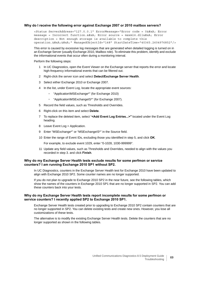#### **Why do I receive the following error against Exchange 2007 or 2010 mailbox servers?**

<Status ServerAddress="127.0.0.1" ErrorMessage="Error code = 0&#xA; Error message = Incorrect function. 
Error source = msxml6.dll
Error description = Not enough storage is available to complete this operation.  $\&\#xA$ ;  $\&\#xA$ ; " ManagedObjectId="148" StartDateTime="40365.2604976852"/>

This error is caused by excessive log messages that are generated when detailed logging is turned on in an Exchange Server (usually Exchange 2010, Mailbox role). To eliminate this problem, identify and exclude the informational events that occur often during a monitoring interval.

Perform the following steps:

- 1 In UC Diagnostics, open the Event Viewer on the Exchange server that reports the error and locate high-frequency informational events that can be filtered out.
- 2 Right-click the server icon and select **Detect/Exchange Server Health**.
- 3 Select either Exchange 2010 or Exchange 2007.
- 4 In the list, under Event Log, locate the appropriate event sources:
	- **▫** "Application\MSExchange\*" (for Exchange 2010)
	- **▫** "Application\MSExchangeIS\*" (for Exchange 2007).
- 5 Record the field values, such as Thresholds and Overrides.
- 6 Right-click on this item and select **Delete**.
- 7 To replace the deleted item, select "**<Add Event Log Entries...>"** located under the Event Log heading.
- 8 Leave Event Log = Application.
- 9 Enter "MSExchange\*" or "MSExchangeIS\*" in the Source field.
- 10 Enter the range of Event IDs, excluding those you identified in step 5, and click **OK**.

For example, to exclude event 1029, enter "0-1028, 1030-999999".

11 Update any field values, such as Thresholds and Overrides, needed to align with the values you recorded in step 3. and click **Finish**.

#### **Why do my Exchange Server Health tests exclude results for some perfmon or service counters? I am running Exchange 2010 SP1 without SP2.**

In UC Diagnostics, counters in the Exchange Server Health test for Exchange 2010 have been updated to align with Exchange 2010 SP2. Some counter names are no longer supported.

If you do not plan to upgrade to Exchange 2010 SP2 in the near future, see the following tables, which show the names of the counters in Exchange 2010 SP1 that are no longer supported in SP2. You can add these counters back into your tests.

#### **Why do my Exchange Server Health tests report incomplete results for some perfmon or service counters? I recently applied SP2 to Exchange 2010 SP1.**

Exchange Server Health tests created prior to upgrading to Exchange 2010 SP2 contain counters that are no longer supported in SP2. You can delete existing tests and create new ones. However, you lose all customizations of these tests.

The alternative is to modify the existing Exchange Server Health tests. Delete the counters that are no longer supported as shown in the following tables.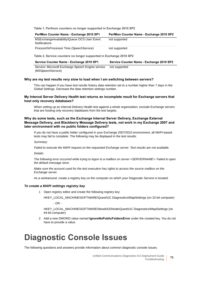**Table 1. Perfmon counters no longer supported in Exchange 2010 SP2**

| PerfMon Counter Name - Exchange 2010 SP1                     | PerfMon Counter Name - Exchange 2010 SP2 |
|--------------------------------------------------------------|------------------------------------------|
| MSExchangeAvailability\Queue OCS User Event<br>Notifications | not supported                            |
| Process\%Processor Time (SpeechService)                      | not supported                            |

**Table 2. Service counters no longer supported in Exchange 2010 SP2**

| Service Counter Name - Exchange 2010 SP1 | Service Counter Name - Exchange 2010 SP2 |
|------------------------------------------|------------------------------------------|
|                                          |                                          |

Service: Microsoft Exchange Speech Engine service not supported(MSSpeechService)

#### **Why are my test results very slow to load when I am switching between servers?**

This can happen if you have test results history data retention set to a number higher than 7 days in the Global Settings. Decrease the data retention settings number.

#### **My Internal Server Delivery Health test returns an incomplete result for Exchange servers that host only recovery databases?**

When setting up an Internal Delivery Health test against a whole organization, exclude Exchange servers that are hosting only recovery databases from the test targets.

#### **Why do some tests, such as the Exchange Internal Server Delivery, Exchange External Message Delivery, and Blackberry Message Delivery tests, not work in my Exchange 2007 and later environment with no public folders configured?**

If you do not have a public folder configured in your Exchange 2007/2010 environment, all MAPI-based tests may fail to complete. The following may be displayed in the test results:

*Summary:*

*Failed to execute the MAPI request on the requested Exchange server. Test results are not available.*

*Details:*

*The following error occurred while trying to logon to a mailbox on server <SERVERNAME>: Failed to open the default message store.*

*Make sure the account used for the test execution has rights to access the source mailbox on the Exchange server.*

As a workaround, create a registry key on the computer on which your Diagnostic Service is located:

#### *To create a MAPI settings registry key*

1 Open registry editor and create the following registry key:

HKEY\_LOCAL\_MACHINE\SOFTWARE\Quest\UC Diagnostics\MapiSettings (on 32-bit computer) - OR -

HKEY\_LOCAL\_MACHINE\SOFTWARE\Wow6432Node\Quest\UC Diagnostics\MapiSettings (on 64-bit computer)

2 Add a new DWORD value named **IgnoreNoPublicFoldersError** under the created key. You do not have to provide a value.

## <span id="page-69-0"></span>**Diagnostic Console Issues**

The following questions and answers provide information about common diagnostic console issues.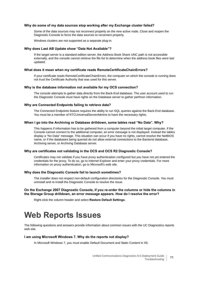#### **Why do some of my data sources stop working after my Exchange cluster failed?**

Some of the data sources may not reconnect properly on the new active node. Close and reopen the Diagnostic Console to force the data sources to reconnect properly.

Windows clusters are not supported as a separate plug-in.

#### **Why does Last AB Update show "Data Not Available"?**

If the target server is a standard edition server, the Address Book Share UNC path is not accessible externally, and the console cannot retrieve the file list to determine when the address book files were last updated.

#### **What does it mean when my certificate reads RemoteCertificateChainErrors?**

If your certificate reads RemoteCertificateChainErrors, the computer on which the console is running does not trust the Certificate Authority that was used for this server.

#### **Why is the database information not available for my OCS connection?**

The console attempts to gather data directly from the Back-End database. The user account used to run the Diagnostic Console must have rights on the Database server to gather perfmon information.

#### **Why are Connected Endpoints failing to retrieve data?**

The Connected Endpoints feature requires the ability to run SQL queries against the Back-End database. You must be a member of RTCUniversalServerAdmins to have the necessary rights.

#### **When I go into the Archiving or Database drilldown, some tables read "No Data". Why?**

This happens if information has to be gathered from a computer beyond the initial target computer. If the Console cannot connect to the additional computer, an error message is not displayed. Instead the tables display a "No Data" message. This situation can occur if you have no rights, cannot resolve the NetBIOS name, or if the databases being queried do not allow external connections to the Backend database, Archiving server, or Archiving Database server.

#### **Why are certificates not validating in the OCS and OCS R2 Diagnostic Console?**

Certificates may not validate if you have proxy authentication configured but you have not yet entered the credentials for the proxy. To do so, go to Internet Explorer and enter your proxy credentials. For more information on proxy authentication, go to Microsoft's web site.

#### **Why does the Diagnostic Console fail to launch sometimes?**

The installer does not respect non-default configuration directories for the Diagnostic Console. You must uninstall and re-install the Diagnostic Console to resolve the issue.

#### **On the Exchange 2007 Diagnostic Console, if you re-order the columns or hide the columns in the Storage Group drilldown, an error message appears. How do I resolve the error?**

Right-click the column header and select **Restore Default Settings**.

## <span id="page-70-0"></span>**Web Reports Issues**

The following questions and answers provide information about common issues with the UC Diagnostics reports web site.

#### **I am using Microsoft Windows 7. Why do the reports not display?**

In Microsoft Windows 7, you must enable Default Document and Static Content in IIS.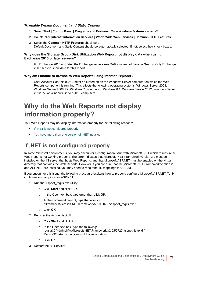#### *To enable Default Document and Static Content*

- 1 Select **Start | Control Panel | Programs and Features | Turn Windows features on or off**.
- 2 Double-click **Internet Information Services | World Wide Web Services | Common HTTP Features**.
- 3 Select the **Common HTTP Features** check box. Default Document and Static Content should be automatically selected. If not, select their check boxes.

#### **Why does the Storage Group Disk Utilization Web Report not display data when using Exchange 2010 or later servers?**

For Exchange 2010 and later, the Exchange servers use DAGs instead of Storage Groups. Only Exchange 2007 servers show data for this report.

#### **Why am I unable to browse to Web Reports using Internet Explorer?**

User Account Controls (UAC) must be turned off on the Windows Server computer on which the Web Reports component is running. This affects the following operating systems: Windows Server 2008, Windows Server 2008 R2, Windows 7, Windows 8, Windows 8.1, Windows Server 2012, Windows Server 2012 R2, or Windows Server 2016 computers.

### **Why do the Web Reports not display information properly?**

Your Web Reports may not display information properly for the following reasons:

- **•** [If .NET is not configured properly](#page-71-0)
- **•** [You have more than one version of .NET installed](#page-72-0)

### <span id="page-71-0"></span>**If .NET is not configured properly**

In some Microsoft environments, you may encounter a configuration issue with Microsoft .NET which results in the Web Reports not working properly. The error indicates that Microsoft .NET Framework version 2.0 must be installed on the IIS server that hosts Web Reports, and that Microsoft ASP.NET must be enabled on the virtual directory that contains the Web Reports. However, if you are sure that the Microsoft .NET Framework version 2.0 and ASP.NET are installed, you may need to repair the IIS mappings for ASP.NET.

If you encounter this issue, the following procedure explains how to properly configure Microsoft ASP.NET. To fix configuration mappings for ASP.NET.

- 1 Run the Aspnet regiis.exe utility:
	- a Click **Start** and click **Run**.
	- b In the Open text box, type **cmd**, then click **OK**.
	- c At the command prompt, type the following: "%windir%\Microsoft.NET\Framework\v2.0.50727\aspnet\_regiis.exe" -i
	- d Click **OK**.
- 2 Register the Aspnet\_ispi.dll:
	- a Click **Start** and click **Run**.
	- b In the Open text box, type the following: regsvr32 "%windir%\Microsoft.NET\Framework\v2.0.50727\aspnet\_isapi.dll" Regsvr32 returns the results of the registration.
	- c Click **OK**.
- 3 Restart the IIS Service: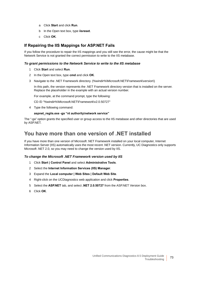- a Click **Start** and click **Run**.
- b In the Open text box, type **iisreset**.
- c Click **OK**.

### **If Repairing the IIS Mappings for ASP.NET Fails**

If you follow the procedure to repair the IIS mappings and you still see the error, the cause might be that the Network Service is not granted the correct permission to write to the IIS metabase.

#### *To grant permissions to the Network Service to write to the IIS metabase*

- 1 Click **Start** and select **Run**.
- 2 In the Open text box, type **cmd** and click **OK**.
- 3 Navigate to the .NET Framework directory. (%windir%\Microsoft.NET\Framework\*version*\)

In this path, the version represents the .NET Framework directory version that is installed on the server. Replace the placeholder in the example with an actual version number.

For example, at the command prompt, type the following:

CD /D "%windir%\Microsoft.NET\Framework\v2.0.50727"

4 Type the following command:

#### **aspnet\_regiis.exe -ga "nt authority\network service"**

The "-ga" option grants the specified user or group access to the IIS metabase and other directories that are used by ASP.NET.

### **You have more than one version of .NET installed**

If you have more than one version of Microsoft .NET Framework installed on your local computer, Internet Information Server (IIS) automatically uses the most recent .NET version. Currently, UC Diagnostics only supports Microsoft .NET 2.0, so you may need to change the version used by IIS.

#### *To change the Microsoft .NET Framework version used by IIS*

- 1 Click **Start | Control Panel** and select **Administrative Tools**.
- 2 Select the **Internet Information Services (IIS) Manager**.
- 3 Expand the **Local computer | Web Sites | Default Web Site**.
- 4 Right-click on the UCDiagnostics web application and click **Properties**.
- 5 Select the **ASP.NET** tab, and select **.NET 2.0.50727** from the ASP.NET Version box.
- 6 Click **OK**.